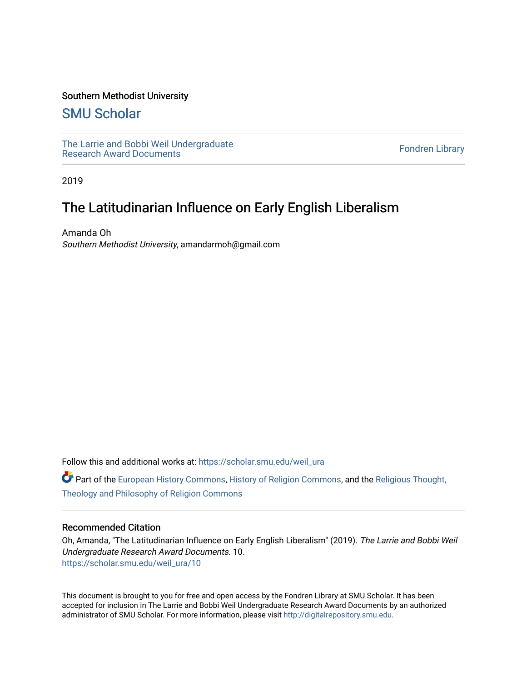## Southern Methodist University

# [SMU Scholar](https://scholar.smu.edu/)

[The Larrie and Bobbi Weil Undergraduate](https://scholar.smu.edu/weil_ura) The Lattle and Bobbi wen Undergraduate<br>[Research Award Documents](https://scholar.smu.edu/weil_ura)

2019

# The Latitudinarian Influence on Early English Liberalism

Amanda Oh Southern Methodist University, amandarmoh@gmail.com

Follow this and additional works at: [https://scholar.smu.edu/weil\\_ura](https://scholar.smu.edu/weil_ura?utm_source=scholar.smu.edu%2Fweil_ura%2F10&utm_medium=PDF&utm_campaign=PDFCoverPages)

**C** Part of the [European History Commons](http://network.bepress.com/hgg/discipline/492?utm_source=scholar.smu.edu%2Fweil_ura%2F10&utm_medium=PDF&utm_campaign=PDFCoverPages), [History of Religion Commons,](http://network.bepress.com/hgg/discipline/499?utm_source=scholar.smu.edu%2Fweil_ura%2F10&utm_medium=PDF&utm_campaign=PDFCoverPages) and the Religious Thought, [Theology and Philosophy of Religion Commons](http://network.bepress.com/hgg/discipline/544?utm_source=scholar.smu.edu%2Fweil_ura%2F10&utm_medium=PDF&utm_campaign=PDFCoverPages) 

#### Recommended Citation

Oh, Amanda, "The Latitudinarian Influence on Early English Liberalism" (2019). The Larrie and Bobbi Weil Undergraduate Research Award Documents. 10. [https://scholar.smu.edu/weil\\_ura/10](https://scholar.smu.edu/weil_ura/10?utm_source=scholar.smu.edu%2Fweil_ura%2F10&utm_medium=PDF&utm_campaign=PDFCoverPages) 

This document is brought to you for free and open access by the Fondren Library at SMU Scholar. It has been accepted for inclusion in The Larrie and Bobbi Weil Undergraduate Research Award Documents by an authorized administrator of SMU Scholar. For more information, please visit [http://digitalrepository.smu.edu](http://digitalrepository.smu.edu/).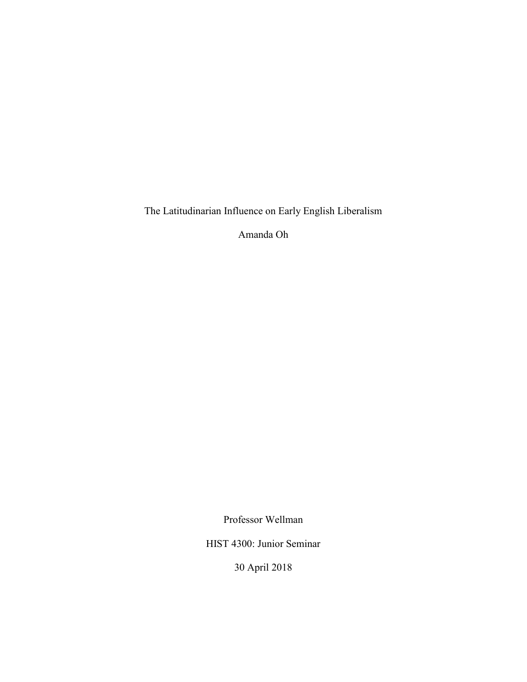The Latitudinarian Influence on Early English Liberalism

Amanda Oh

Professor Wellman

HIST 4300: Junior Seminar

30 April 2018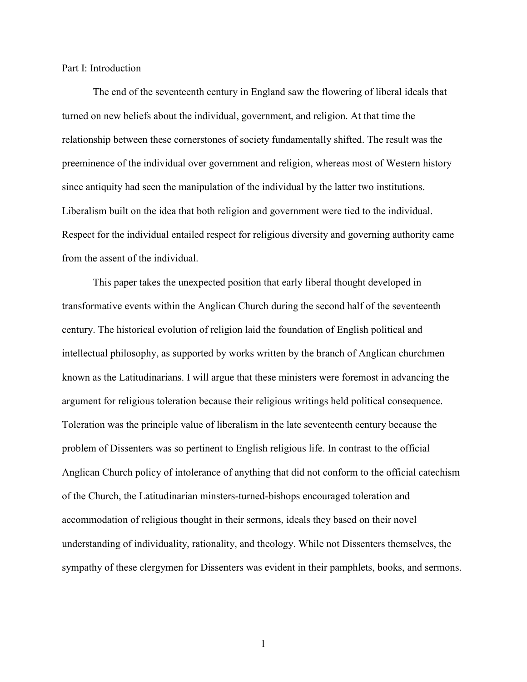Part I: Introduction

The end of the seventeenth century in England saw the flowering of liberal ideals that turned on new beliefs about the individual, government, and religion. At that time the relationship between these cornerstones of society fundamentally shifted. The result was the preeminence of the individual over government and religion, whereas most of Western history since antiquity had seen the manipulation of the individual by the latter two institutions. Liberalism built on the idea that both religion and government were tied to the individual. Respect for the individual entailed respect for religious diversity and governing authority came from the assent of the individual.

This paper takes the unexpected position that early liberal thought developed in transformative events within the Anglican Church during the second half of the seventeenth century. The historical evolution of religion laid the foundation of English political and intellectual philosophy, as supported by works written by the branch of Anglican churchmen known as the Latitudinarians. I will argue that these ministers were foremost in advancing the argument for religious toleration because their religious writings held political consequence. Toleration was the principle value of liberalism in the late seventeenth century because the problem of Dissenters was so pertinent to English religious life. In contrast to the official Anglican Church policy of intolerance of anything that did not conform to the official catechism of the Church, the Latitudinarian minsters-turned-bishops encouraged toleration and accommodation of religious thought in their sermons, ideals they based on their novel understanding of individuality, rationality, and theology. While not Dissenters themselves, the sympathy of these clergymen for Dissenters was evident in their pamphlets, books, and sermons.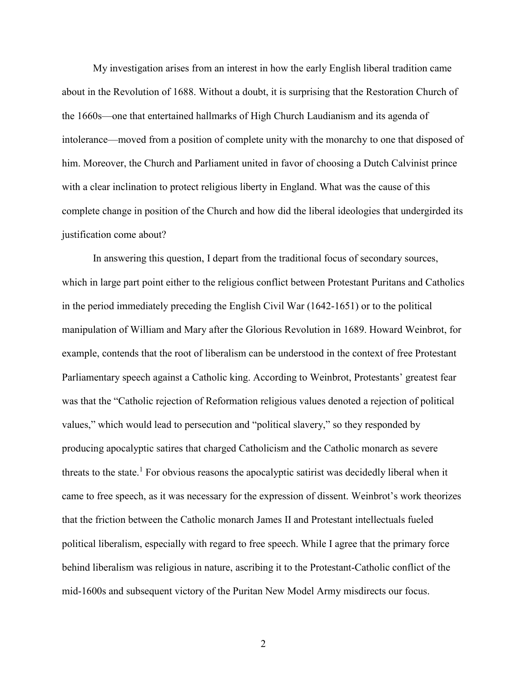My investigation arises from an interest in how the early English liberal tradition came about in the Revolution of 1688. Without a doubt, it is surprising that the Restoration Church of the 1660s—one that entertained hallmarks of High Church Laudianism and its agenda of intolerance—moved from a position of complete unity with the monarchy to one that disposed of him. Moreover, the Church and Parliament united in favor of choosing a Dutch Calvinist prince with a clear inclination to protect religious liberty in England. What was the cause of this complete change in position of the Church and how did the liberal ideologies that undergirded its justification come about?

In answering this question, I depart from the traditional focus of secondary sources, which in large part point either to the religious conflict between Protestant Puritans and Catholics in the period immediately preceding the English Civil War (1642-1651) or to the political manipulation of William and Mary after the Glorious Revolution in 1689. Howard Weinbrot, for example, contends that the root of liberalism can be understood in the context of free Protestant Parliamentary speech against a Catholic king. According to Weinbrot, Protestants' greatest fear was that the "Catholic rejection of Reformation religious values denoted a rejection of political values," which would lead to persecution and "political slavery," so they responded by producing apocalyptic satires that charged Catholicism and the Catholic monarch as severe threats to the state.<sup>1</sup> For obvious reasons the apocalyptic satirist was decidedly liberal when it came to free speech, as it was necessary for the expression of dissent. Weinbrot's work theorizes that the friction between the Catholic monarch James II and Protestant intellectuals fueled political liberalism, especially with regard to free speech. While I agree that the primary force behind liberalism was religious in nature, ascribing it to the Protestant-Catholic conflict of the mid-1600s and subsequent victory of the Puritan New Model Army misdirects our focus.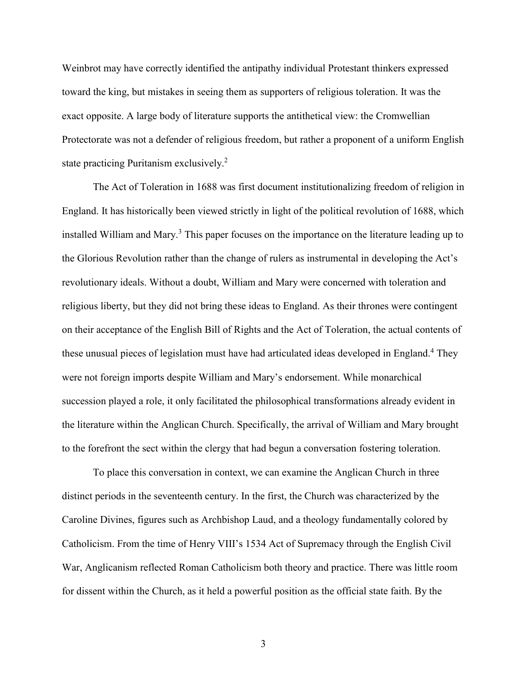Weinbrot may have correctly identified the antipathy individual Protestant thinkers expressed toward the king, but mistakes in seeing them as supporters of religious toleration. It was the exact opposite. A large body of literature supports the antithetical view: the Cromwellian Protectorate was not a defender of religious freedom, but rather a proponent of a uniform English state practicing Puritanism exclusively.<sup>2</sup>

The Act of Toleration in 1688 was first document institutionalizing freedom of religion in England. It has historically been viewed strictly in light of the political revolution of 1688, which installed William and Mary.<sup>3</sup> This paper focuses on the importance on the literature leading up to the Glorious Revolution rather than the change of rulers as instrumental in developing the Act's revolutionary ideals. Without a doubt, William and Mary were concerned with toleration and religious liberty, but they did not bring these ideas to England. As their thrones were contingent on their acceptance of the English Bill of Rights and the Act of Toleration, the actual contents of these unusual pieces of legislation must have had articulated ideas developed in England. <sup>4</sup> They were not foreign imports despite William and Mary's endorsement. While monarchical succession played a role, it only facilitated the philosophical transformations already evident in the literature within the Anglican Church. Specifically, the arrival of William and Mary brought to the forefront the sect within the clergy that had begun a conversation fostering toleration.

To place this conversation in context, we can examine the Anglican Church in three distinct periods in the seventeenth century. In the first, the Church was characterized by the Caroline Divines, figures such as Archbishop Laud, and a theology fundamentally colored by Catholicism. From the time of Henry VIII's 1534 Act of Supremacy through the English Civil War, Anglicanism reflected Roman Catholicism both theory and practice. There was little room for dissent within the Church, as it held a powerful position as the official state faith. By the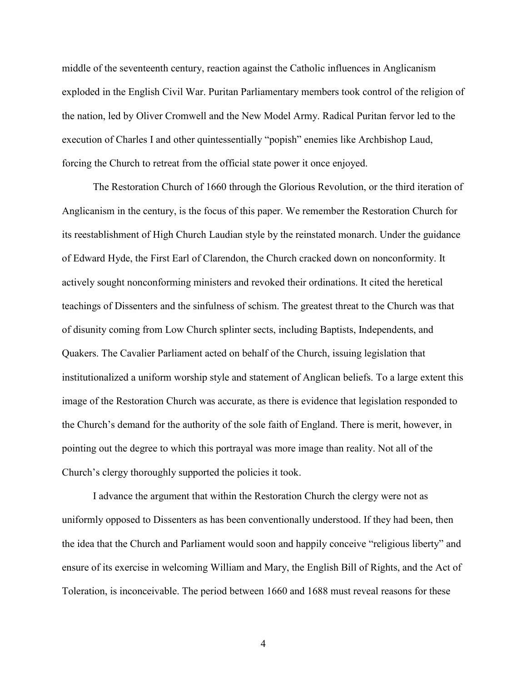middle of the seventeenth century, reaction against the Catholic influences in Anglicanism exploded in the English Civil War. Puritan Parliamentary members took control of the religion of the nation, led by Oliver Cromwell and the New Model Army. Radical Puritan fervor led to the execution of Charles I and other quintessentially "popish" enemies like Archbishop Laud, forcing the Church to retreat from the official state power it once enjoyed.

The Restoration Church of 1660 through the Glorious Revolution, or the third iteration of Anglicanism in the century, is the focus of this paper. We remember the Restoration Church for its reestablishment of High Church Laudian style by the reinstated monarch. Under the guidance of Edward Hyde, the First Earl of Clarendon, the Church cracked down on nonconformity. It actively sought nonconforming ministers and revoked their ordinations. It cited the heretical teachings of Dissenters and the sinfulness of schism. The greatest threat to the Church was that of disunity coming from Low Church splinter sects, including Baptists, Independents, and Quakers. The Cavalier Parliament acted on behalf of the Church, issuing legislation that institutionalized a uniform worship style and statement of Anglican beliefs. To a large extent this image of the Restoration Church was accurate, as there is evidence that legislation responded to the Church's demand for the authority of the sole faith of England. There is merit, however, in pointing out the degree to which this portrayal was more image than reality. Not all of the Church's clergy thoroughly supported the policies it took.

I advance the argument that within the Restoration Church the clergy were not as uniformly opposed to Dissenters as has been conventionally understood. If they had been, then the idea that the Church and Parliament would soon and happily conceive "religious liberty" and ensure of its exercise in welcoming William and Mary, the English Bill of Rights, and the Act of Toleration, is inconceivable. The period between 1660 and 1688 must reveal reasons for these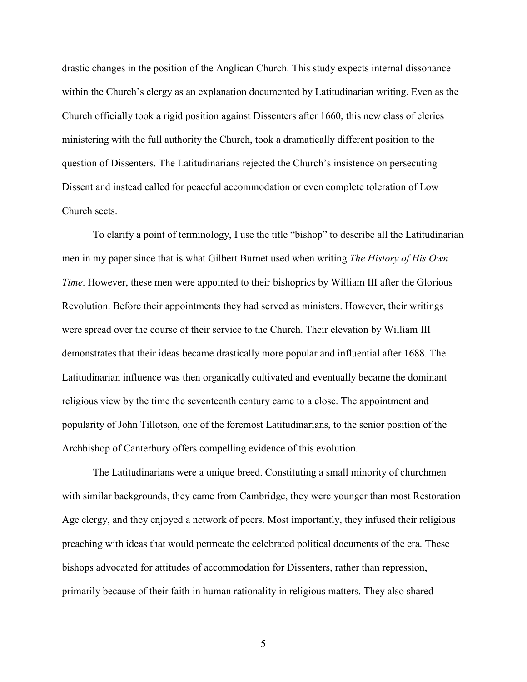drastic changes in the position of the Anglican Church. This study expects internal dissonance within the Church's clergy as an explanation documented by Latitudinarian writing. Even as the Church officially took a rigid position against Dissenters after 1660, this new class of clerics ministering with the full authority the Church, took a dramatically different position to the question of Dissenters. The Latitudinarians rejected the Church's insistence on persecuting Dissent and instead called for peaceful accommodation or even complete toleration of Low Church sects.

To clarify a point of terminology, I use the title "bishop" to describe all the Latitudinarian men in my paper since that is what Gilbert Burnet used when writing *The History of His Own Time*. However, these men were appointed to their bishoprics by William III after the Glorious Revolution. Before their appointments they had served as ministers. However, their writings were spread over the course of their service to the Church. Their elevation by William III demonstrates that their ideas became drastically more popular and influential after 1688. The Latitudinarian influence was then organically cultivated and eventually became the dominant religious view by the time the seventeenth century came to a close. The appointment and popularity of John Tillotson, one of the foremost Latitudinarians, to the senior position of the Archbishop of Canterbury offers compelling evidence of this evolution.

The Latitudinarians were a unique breed. Constituting a small minority of churchmen with similar backgrounds, they came from Cambridge, they were younger than most Restoration Age clergy, and they enjoyed a network of peers. Most importantly, they infused their religious preaching with ideas that would permeate the celebrated political documents of the era. These bishops advocated for attitudes of accommodation for Dissenters, rather than repression, primarily because of their faith in human rationality in religious matters. They also shared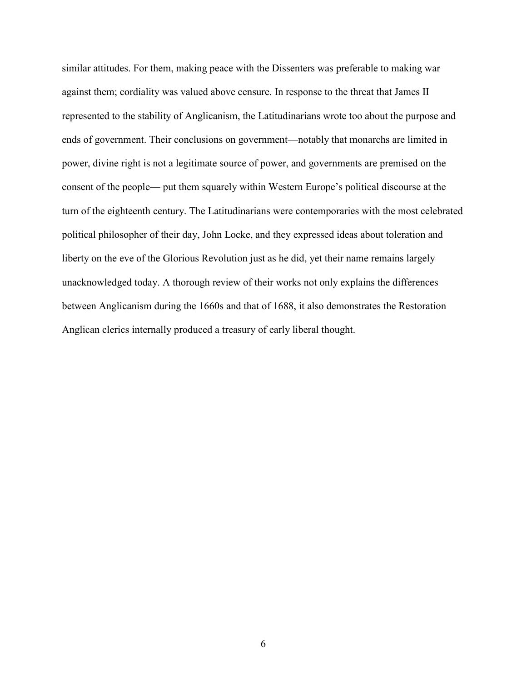similar attitudes. For them, making peace with the Dissenters was preferable to making war against them; cordiality was valued above censure. In response to the threat that James II represented to the stability of Anglicanism, the Latitudinarians wrote too about the purpose and ends of government. Their conclusions on government—notably that monarchs are limited in power, divine right is not a legitimate source of power, and governments are premised on the consent of the people— put them squarely within Western Europe's political discourse at the turn of the eighteenth century. The Latitudinarians were contemporaries with the most celebrated political philosopher of their day, John Locke, and they expressed ideas about toleration and liberty on the eve of the Glorious Revolution just as he did, yet their name remains largely unacknowledged today. A thorough review of their works not only explains the differences between Anglicanism during the 1660s and that of 1688, it also demonstrates the Restoration Anglican clerics internally produced a treasury of early liberal thought.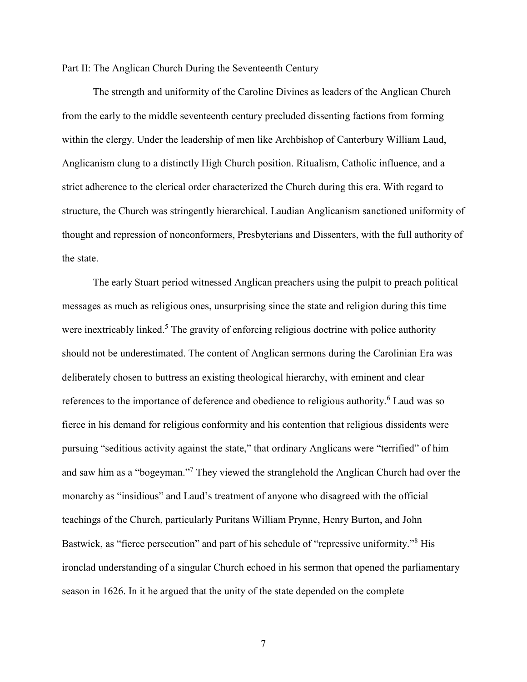Part II: The Anglican Church During the Seventeenth Century

The strength and uniformity of the Caroline Divines as leaders of the Anglican Church from the early to the middle seventeenth century precluded dissenting factions from forming within the clergy. Under the leadership of men like Archbishop of Canterbury William Laud, Anglicanism clung to a distinctly High Church position. Ritualism, Catholic influence, and a strict adherence to the clerical order characterized the Church during this era. With regard to structure, the Church was stringently hierarchical. Laudian Anglicanism sanctioned uniformity of thought and repression of nonconformers, Presbyterians and Dissenters, with the full authority of the state.

The early Stuart period witnessed Anglican preachers using the pulpit to preach political messages as much as religious ones, unsurprising since the state and religion during this time were inextricably linked.<sup>5</sup> The gravity of enforcing religious doctrine with police authority should not be underestimated. The content of Anglican sermons during the Carolinian Era was deliberately chosen to buttress an existing theological hierarchy, with eminent and clear references to the importance of deference and obedience to religious authority.<sup>6</sup> Laud was so fierce in his demand for religious conformity and his contention that religious dissidents were pursuing "seditious activity against the state," that ordinary Anglicans were "terrified" of him and saw him as a "bogeyman."<sup>7</sup> They viewed the stranglehold the Anglican Church had over the monarchy as "insidious" and Laud's treatment of anyone who disagreed with the official teachings of the Church, particularly Puritans William Prynne, Henry Burton, and John Bastwick, as "fierce persecution" and part of his schedule of "repressive uniformity."<sup>8</sup> His ironclad understanding of a singular Church echoed in his sermon that opened the parliamentary season in 1626. In it he argued that the unity of the state depended on the complete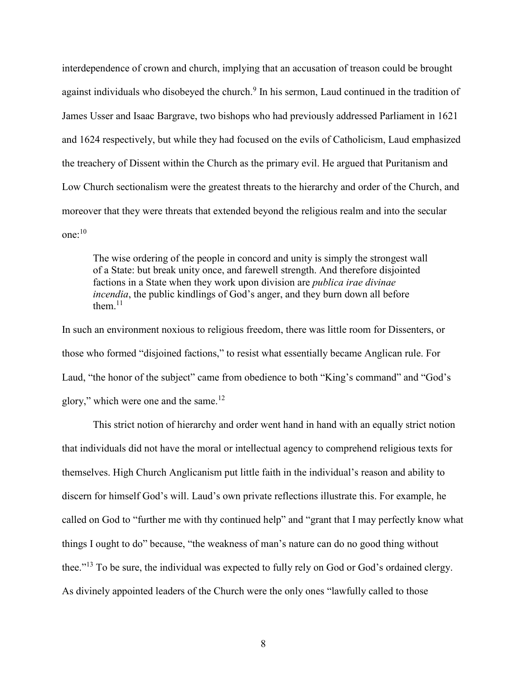interdependence of crown and church, implying that an accusation of treason could be brought against individuals who disobeyed the church.<sup>9</sup> In his sermon, Laud continued in the tradition of James Usser and Isaac Bargrave, two bishops who had previously addressed Parliament in 1621 and 1624 respectively, but while they had focused on the evils of Catholicism, Laud emphasized the treachery of Dissent within the Church as the primary evil. He argued that Puritanism and Low Church sectionalism were the greatest threats to the hierarchy and order of the Church, and moreover that they were threats that extended beyond the religious realm and into the secular one: 10

The wise ordering of the people in concord and unity is simply the strongest wall of a State: but break unity once, and farewell strength. And therefore disjointed factions in a State when they work upon division are *publica irae divinae incendia*, the public kindlings of God's anger, and they burn down all before them $11$ 

In such an environment noxious to religious freedom, there was little room for Dissenters, or those who formed "disjoined factions," to resist what essentially became Anglican rule. For Laud, "the honor of the subject" came from obedience to both "King's command" and "God's glory," which were one and the same. $12$ 

This strict notion of hierarchy and order went hand in hand with an equally strict notion that individuals did not have the moral or intellectual agency to comprehend religious texts for themselves. High Church Anglicanism put little faith in the individual's reason and ability to discern for himself God's will. Laud's own private reflections illustrate this. For example, he called on God to "further me with thy continued help" and "grant that I may perfectly know what things I ought to do" because, "the weakness of man's nature can do no good thing without thee."<sup>13</sup> To be sure, the individual was expected to fully rely on God or God's ordained clergy. As divinely appointed leaders of the Church were the only ones "lawfully called to those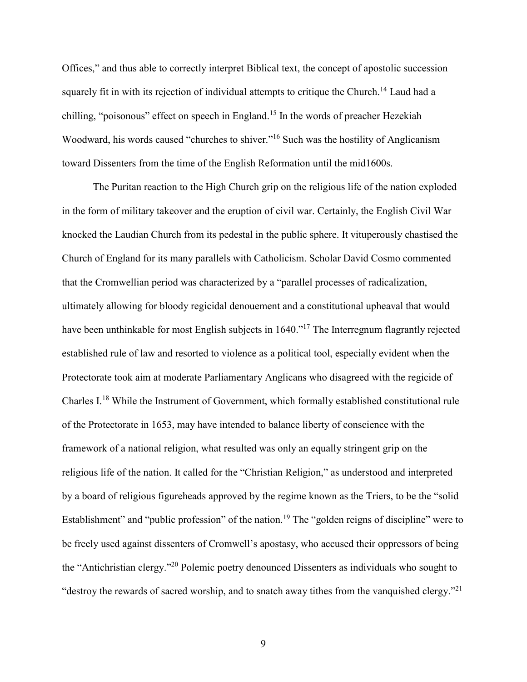Offices," and thus able to correctly interpret Biblical text, the concept of apostolic succession squarely fit in with its rejection of individual attempts to critique the Church.<sup>14</sup> Laud had a chilling, "poisonous" effect on speech in England.<sup>15</sup> In the words of preacher Hezekiah Woodward, his words caused "churches to shiver."<sup>16</sup> Such was the hostility of Anglicanism toward Dissenters from the time of the English Reformation until the mid1600s.

The Puritan reaction to the High Church grip on the religious life of the nation exploded in the form of military takeover and the eruption of civil war. Certainly, the English Civil War knocked the Laudian Church from its pedestal in the public sphere. It vituperously chastised the Church of England for its many parallels with Catholicism. Scholar David Cosmo commented that the Cromwellian period was characterized by a "parallel processes of radicalization, ultimately allowing for bloody regicidal denouement and a constitutional upheaval that would have been unthinkable for most English subjects in 1640."<sup>17</sup> The Interregnum flagrantly rejected established rule of law and resorted to violence as a political tool, especially evident when the Protectorate took aim at moderate Parliamentary Anglicans who disagreed with the regicide of Charles I.<sup>18</sup> While the Instrument of Government, which formally established constitutional rule of the Protectorate in 1653, may have intended to balance liberty of conscience with the framework of a national religion, what resulted was only an equally stringent grip on the religious life of the nation. It called for the "Christian Religion," as understood and interpreted by a board of religious figureheads approved by the regime known as the Triers, to be the "solid Establishment" and "public profession" of the nation.<sup>19</sup> The "golden reigns of discipline" were to be freely used against dissenters of Cromwell's apostasy, who accused their oppressors of being the "Antichristian clergy."<sup>20</sup> Polemic poetry denounced Dissenters as individuals who sought to "destroy the rewards of sacred worship, and to snatch away tithes from the vanquished clergy."<sup>21</sup>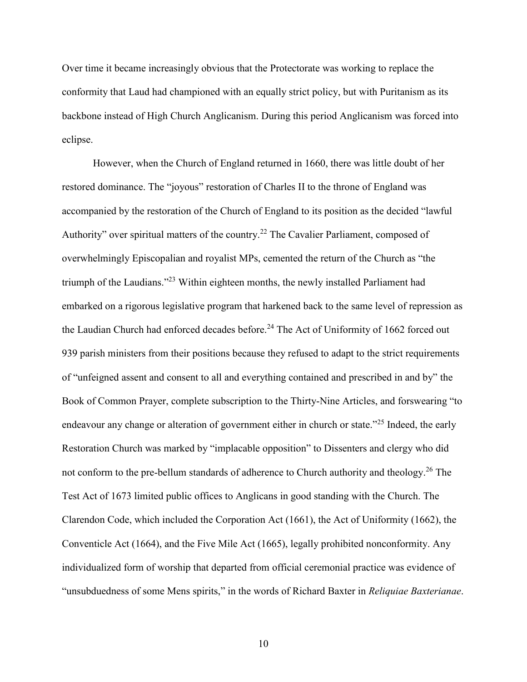Over time it became increasingly obvious that the Protectorate was working to replace the conformity that Laud had championed with an equally strict policy, but with Puritanism as its backbone instead of High Church Anglicanism. During this period Anglicanism was forced into eclipse.

However, when the Church of England returned in 1660, there was little doubt of her restored dominance. The "joyous" restoration of Charles II to the throne of England was accompanied by the restoration of the Church of England to its position as the decided "lawful Authority" over spiritual matters of the country.<sup>22</sup> The Cavalier Parliament, composed of overwhelmingly Episcopalian and royalist MPs, cemented the return of the Church as "the triumph of the Laudians."<sup>23</sup> Within eighteen months, the newly installed Parliament had embarked on a rigorous legislative program that harkened back to the same level of repression as the Laudian Church had enforced decades before.<sup>24</sup> The Act of Uniformity of 1662 forced out 939 parish ministers from their positions because they refused to adapt to the strict requirements of "unfeigned assent and consent to all and everything contained and prescribed in and by" the Book of Common Prayer, complete subscription to the Thirty-Nine Articles, and forswearing "to endeavour any change or alteration of government either in church or state."<sup>25</sup> Indeed, the early Restoration Church was marked by "implacable opposition" to Dissenters and clergy who did not conform to the pre-bellum standards of adherence to Church authority and theology.<sup>26</sup> The Test Act of 1673 limited public offices to Anglicans in good standing with the Church. The Clarendon Code, which included the Corporation Act (1661), the Act of Uniformity (1662), the Conventicle Act (1664), and the Five Mile Act (1665), legally prohibited nonconformity. Any individualized form of worship that departed from official ceremonial practice was evidence of "unsubduedness of some Mens spirits," in the words of Richard Baxter in *Reliquiae Baxterianae*.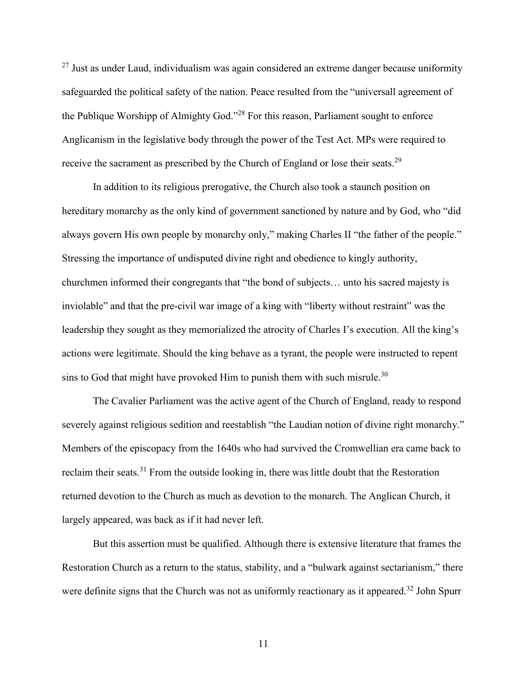$27$  Just as under Laud, individualism was again considered an extreme danger because uniformity safeguarded the political safety of the nation. Peace resulted from the "universall agreement of the Publique Worshipp of Almighty God."<sup>28</sup> For this reason, Parliament sought to enforce Anglicanism in the legislative body through the power of the Test Act. MPs were required to receive the sacrament as prescribed by the Church of England or lose their seats.<sup>29</sup>

In addition to its religious prerogative, the Church also took a staunch position on hereditary monarchy as the only kind of government sanctioned by nature and by God, who "did always govern His own people by monarchy only," making Charles II "the father of the people." Stressing the importance of undisputed divine right and obedience to kingly authority, churchmen informed their congregants that "the bond of subjects… unto his sacred majesty is inviolable" and that the pre-civil war image of a king with "liberty without restraint" was the leadership they sought as they memorialized the atrocity of Charles I's execution. All the king's actions were legitimate. Should the king behave as a tyrant, the people were instructed to repent sins to God that might have provoked Him to punish them with such misrule.<sup>30</sup>

The Cavalier Parliament was the active agent of the Church of England, ready to respond severely against religious sedition and reestablish "the Laudian notion of divine right monarchy." Members of the episcopacy from the 1640s who had survived the Cromwellian era came back to reclaim their seats.<sup>31</sup> From the outside looking in, there was little doubt that the Restoration returned devotion to the Church as much as devotion to the monarch. The Anglican Church, it largely appeared, was back as if it had never left.

But this assertion must be qualified. Although there is extensive literature that frames the Restoration Church as a return to the status, stability, and a "bulwark against sectarianism," there were definite signs that the Church was not as uniformly reactionary as it appeared.<sup>32</sup> John Spurr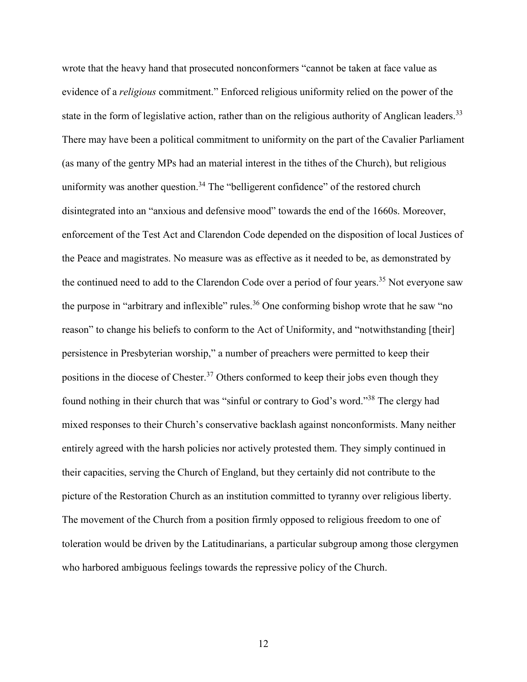wrote that the heavy hand that prosecuted nonconformers "cannot be taken at face value as evidence of a *religious* commitment." Enforced religious uniformity relied on the power of the state in the form of legislative action, rather than on the religious authority of Anglican leaders.<sup>33</sup> There may have been a political commitment to uniformity on the part of the Cavalier Parliament (as many of the gentry MPs had an material interest in the tithes of the Church), but religious uniformity was another question.<sup>34</sup> The "belligerent confidence" of the restored church disintegrated into an "anxious and defensive mood" towards the end of the 1660s. Moreover, enforcement of the Test Act and Clarendon Code depended on the disposition of local Justices of the Peace and magistrates. No measure was as effective as it needed to be, as demonstrated by the continued need to add to the Clarendon Code over a period of four years.<sup>35</sup> Not everyone saw the purpose in "arbitrary and inflexible" rules.<sup>36</sup> One conforming bishop wrote that he saw "no reason" to change his beliefs to conform to the Act of Uniformity, and "notwithstanding [their] persistence in Presbyterian worship," a number of preachers were permitted to keep their positions in the diocese of Chester.<sup>37</sup> Others conformed to keep their jobs even though they found nothing in their church that was "sinful or contrary to God's word."<sup>38</sup> The clergy had mixed responses to their Church's conservative backlash against nonconformists. Many neither entirely agreed with the harsh policies nor actively protested them. They simply continued in their capacities, serving the Church of England, but they certainly did not contribute to the picture of the Restoration Church as an institution committed to tyranny over religious liberty. The movement of the Church from a position firmly opposed to religious freedom to one of toleration would be driven by the Latitudinarians, a particular subgroup among those clergymen who harbored ambiguous feelings towards the repressive policy of the Church.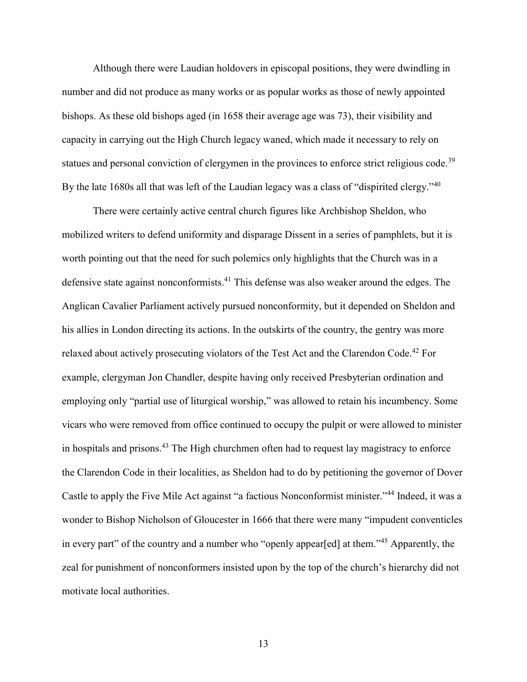Although there were Laudian holdovers in episcopal positions, they were dwindling in number and did not produce as many works or as popular works as those of newly appointed bishops. As these old bishops aged (in 1658 their average age was 73), their visibility and capacity in carrying out the High Church legacy waned, which made it necessary to rely on statues and personal conviction of clergymen in the provinces to enforce strict religious code.<sup>39</sup> By the late 1680s all that was left of the Laudian legacy was a class of "dispirited clergy."<sup>40</sup>

There were certainly active central church figures like Archbishop Sheldon, who mobilized writers to defend uniformity and disparage Dissent in a series of pamphlets, but it is worth pointing out that the need for such polemics only highlights that the Church was in a defensive state against nonconformists.<sup>41</sup> This defense was also weaker around the edges. The Anglican Cavalier Parliament actively pursued nonconformity, but it depended on Sheldon and his allies in London directing its actions. In the outskirts of the country, the gentry was more relaxed about actively prosecuting violators of the Test Act and the Clarendon Code.<sup>42</sup> For example, clergyman Jon Chandler, despite having only received Presbyterian ordination and employing only "partial use of liturgical worship," was allowed to retain his incumbency. Some vicars who were removed from office continued to occupy the pulpit or were allowed to minister in hospitals and prisons.<sup>43</sup> The High churchmen often had to request lay magistracy to enforce the Clarendon Code in their localities, as Sheldon had to do by petitioning the governor of Dover Castle to apply the Five Mile Act against "a factious Nonconformist minister."<sup>44</sup> Indeed, it was a wonder to Bishop Nicholson of Gloucester in 1666 that there were many "impudent conventicles in every part" of the country and a number who "openly appear[ed] at them."<sup>45</sup> Apparently, the zeal for punishment of nonconformers insisted upon by the top of the church's hierarchy did not motivate local authorities.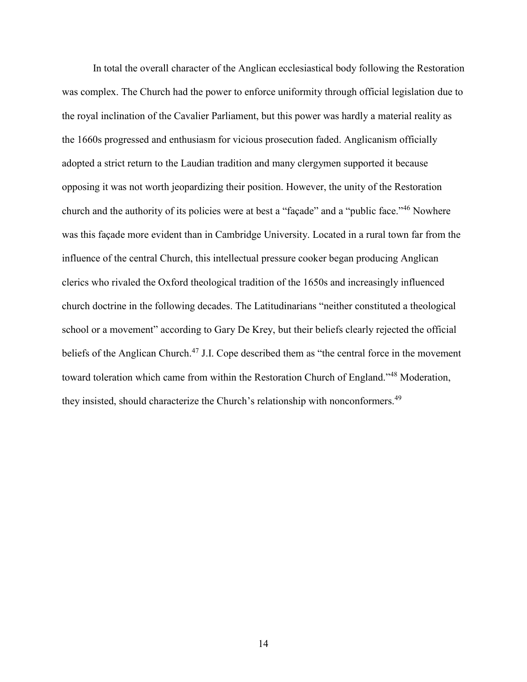In total the overall character of the Anglican ecclesiastical body following the Restoration was complex. The Church had the power to enforce uniformity through official legislation due to the royal inclination of the Cavalier Parliament, but this power was hardly a material reality as the 1660s progressed and enthusiasm for vicious prosecution faded. Anglicanism officially adopted a strict return to the Laudian tradition and many clergymen supported it because opposing it was not worth jeopardizing their position. However, the unity of the Restoration church and the authority of its policies were at best a "façade" and a "public face."<sup>46</sup> Nowhere was this façade more evident than in Cambridge University. Located in a rural town far from the influence of the central Church, this intellectual pressure cooker began producing Anglican clerics who rivaled the Oxford theological tradition of the 1650s and increasingly influenced church doctrine in the following decades. The Latitudinarians "neither constituted a theological school or a movement" according to Gary De Krey, but their beliefs clearly rejected the official beliefs of the Anglican Church.<sup>47</sup> J.I. Cope described them as "the central force in the movement toward toleration which came from within the Restoration Church of England."<sup>48</sup> Moderation, they insisted, should characterize the Church's relationship with nonconformers.<sup>49</sup>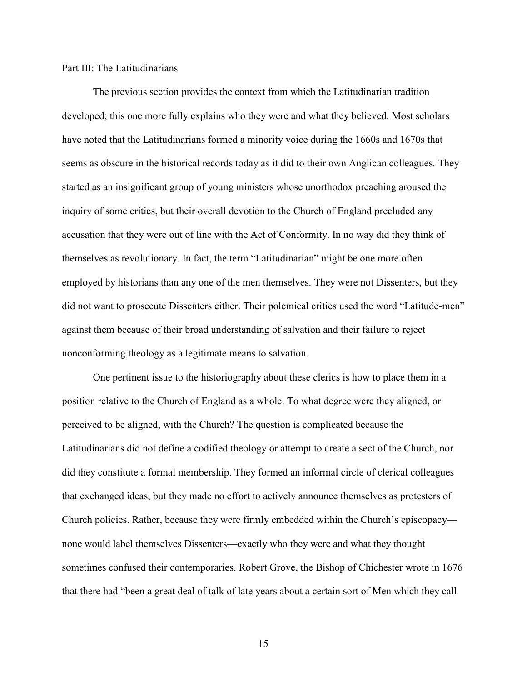#### Part III: The Latitudinarians

The previous section provides the context from which the Latitudinarian tradition developed; this one more fully explains who they were and what they believed. Most scholars have noted that the Latitudinarians formed a minority voice during the 1660s and 1670s that seems as obscure in the historical records today as it did to their own Anglican colleagues. They started as an insignificant group of young ministers whose unorthodox preaching aroused the inquiry of some critics, but their overall devotion to the Church of England precluded any accusation that they were out of line with the Act of Conformity. In no way did they think of themselves as revolutionary. In fact, the term "Latitudinarian" might be one more often employed by historians than any one of the men themselves. They were not Dissenters, but they did not want to prosecute Dissenters either. Their polemical critics used the word "Latitude-men" against them because of their broad understanding of salvation and their failure to reject nonconforming theology as a legitimate means to salvation.

One pertinent issue to the historiography about these clerics is how to place them in a position relative to the Church of England as a whole. To what degree were they aligned, or perceived to be aligned, with the Church? The question is complicated because the Latitudinarians did not define a codified theology or attempt to create a sect of the Church, nor did they constitute a formal membership. They formed an informal circle of clerical colleagues that exchanged ideas, but they made no effort to actively announce themselves as protesters of Church policies. Rather, because they were firmly embedded within the Church's episcopacy none would label themselves Dissenters—exactly who they were and what they thought sometimes confused their contemporaries. Robert Grove, the Bishop of Chichester wrote in 1676 that there had "been a great deal of talk of late years about a certain sort of Men which they call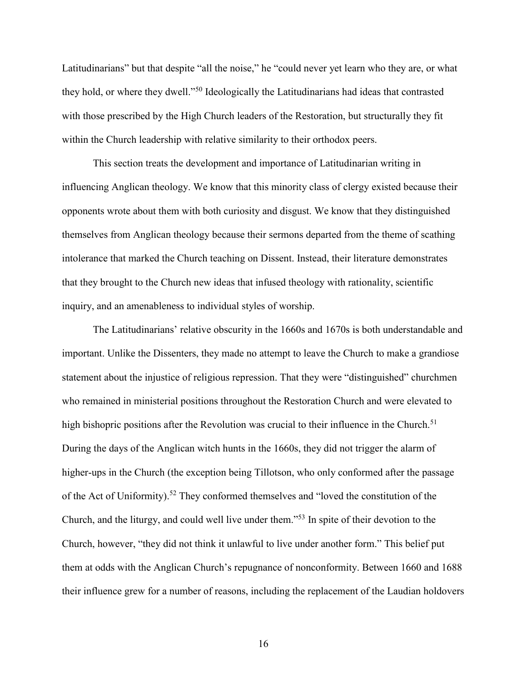Latitudinarians" but that despite "all the noise," he "could never yet learn who they are, or what they hold, or where they dwell."<sup>50</sup> Ideologically the Latitudinarians had ideas that contrasted with those prescribed by the High Church leaders of the Restoration, but structurally they fit within the Church leadership with relative similarity to their orthodox peers.

This section treats the development and importance of Latitudinarian writing in influencing Anglican theology. We know that this minority class of clergy existed because their opponents wrote about them with both curiosity and disgust. We know that they distinguished themselves from Anglican theology because their sermons departed from the theme of scathing intolerance that marked the Church teaching on Dissent. Instead, their literature demonstrates that they brought to the Church new ideas that infused theology with rationality, scientific inquiry, and an amenableness to individual styles of worship.

The Latitudinarians' relative obscurity in the 1660s and 1670s is both understandable and important. Unlike the Dissenters, they made no attempt to leave the Church to make a grandiose statement about the injustice of religious repression. That they were "distinguished" churchmen who remained in ministerial positions throughout the Restoration Church and were elevated to high bishopric positions after the Revolution was crucial to their influence in the Church.<sup>51</sup> During the days of the Anglican witch hunts in the 1660s, they did not trigger the alarm of higher-ups in the Church (the exception being Tillotson, who only conformed after the passage of the Act of Uniformity).<sup>52</sup> They conformed themselves and "loved the constitution of the Church, and the liturgy, and could well live under them."<sup>53</sup> In spite of their devotion to the Church, however, "they did not think it unlawful to live under another form." This belief put them at odds with the Anglican Church's repugnance of nonconformity. Between 1660 and 1688 their influence grew for a number of reasons, including the replacement of the Laudian holdovers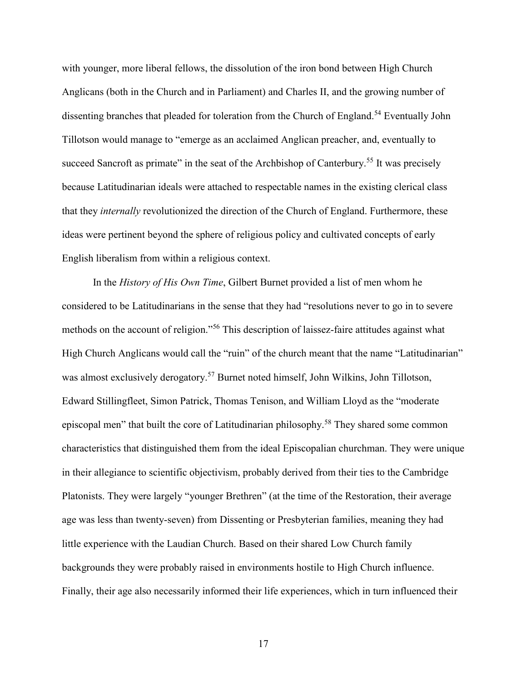with younger, more liberal fellows, the dissolution of the iron bond between High Church Anglicans (both in the Church and in Parliament) and Charles II, and the growing number of dissenting branches that pleaded for toleration from the Church of England.<sup>54</sup> Eventually John Tillotson would manage to "emerge as an acclaimed Anglican preacher, and, eventually to succeed Sancroft as primate" in the seat of the Archbishop of Canterbury.<sup>55</sup> It was precisely because Latitudinarian ideals were attached to respectable names in the existing clerical class that they *internally* revolutionized the direction of the Church of England. Furthermore, these ideas were pertinent beyond the sphere of religious policy and cultivated concepts of early English liberalism from within a religious context.

In the *History of His Own Time*, Gilbert Burnet provided a list of men whom he considered to be Latitudinarians in the sense that they had "resolutions never to go in to severe methods on the account of religion."<sup>56</sup> This description of laissez-faire attitudes against what High Church Anglicans would call the "ruin" of the church meant that the name "Latitudinarian" was almost exclusively derogatory.<sup>57</sup> Burnet noted himself, John Wilkins, John Tillotson, Edward Stillingfleet, Simon Patrick, Thomas Tenison, and William Lloyd as the "moderate episcopal men" that built the core of Latitudinarian philosophy.<sup>58</sup> They shared some common characteristics that distinguished them from the ideal Episcopalian churchman. They were unique in their allegiance to scientific objectivism, probably derived from their ties to the Cambridge Platonists. They were largely "younger Brethren" (at the time of the Restoration, their average age was less than twenty-seven) from Dissenting or Presbyterian families, meaning they had little experience with the Laudian Church. Based on their shared Low Church family backgrounds they were probably raised in environments hostile to High Church influence. Finally, their age also necessarily informed their life experiences, which in turn influenced their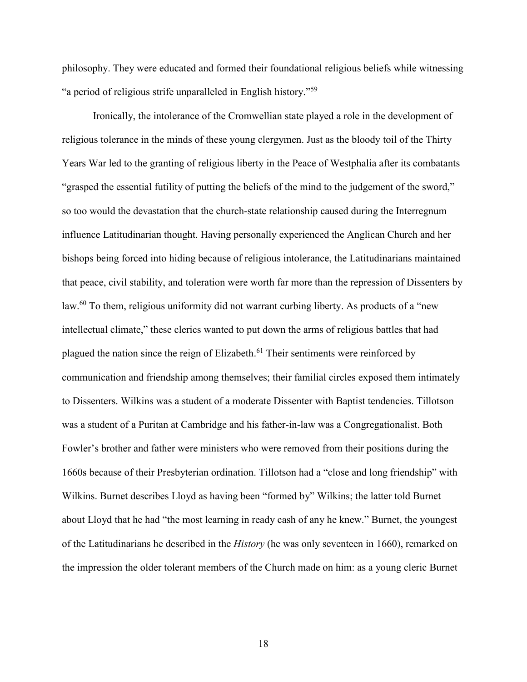philosophy. They were educated and formed their foundational religious beliefs while witnessing "a period of religious strife unparalleled in English history."<sup>59</sup>

Ironically, the intolerance of the Cromwellian state played a role in the development of religious tolerance in the minds of these young clergymen. Just as the bloody toil of the Thirty Years War led to the granting of religious liberty in the Peace of Westphalia after its combatants "grasped the essential futility of putting the beliefs of the mind to the judgement of the sword," so too would the devastation that the church-state relationship caused during the Interregnum influence Latitudinarian thought. Having personally experienced the Anglican Church and her bishops being forced into hiding because of religious intolerance, the Latitudinarians maintained that peace, civil stability, and toleration were worth far more than the repression of Dissenters by law.<sup>60</sup> To them, religious uniformity did not warrant curbing liberty. As products of a "new intellectual climate," these clerics wanted to put down the arms of religious battles that had plagued the nation since the reign of Elizabeth.<sup>61</sup> Their sentiments were reinforced by communication and friendship among themselves; their familial circles exposed them intimately to Dissenters. Wilkins was a student of a moderate Dissenter with Baptist tendencies. Tillotson was a student of a Puritan at Cambridge and his father-in-law was a Congregationalist. Both Fowler's brother and father were ministers who were removed from their positions during the 1660s because of their Presbyterian ordination. Tillotson had a "close and long friendship" with Wilkins. Burnet describes Lloyd as having been "formed by" Wilkins; the latter told Burnet about Lloyd that he had "the most learning in ready cash of any he knew." Burnet, the youngest of the Latitudinarians he described in the *History* (he was only seventeen in 1660), remarked on the impression the older tolerant members of the Church made on him: as a young cleric Burnet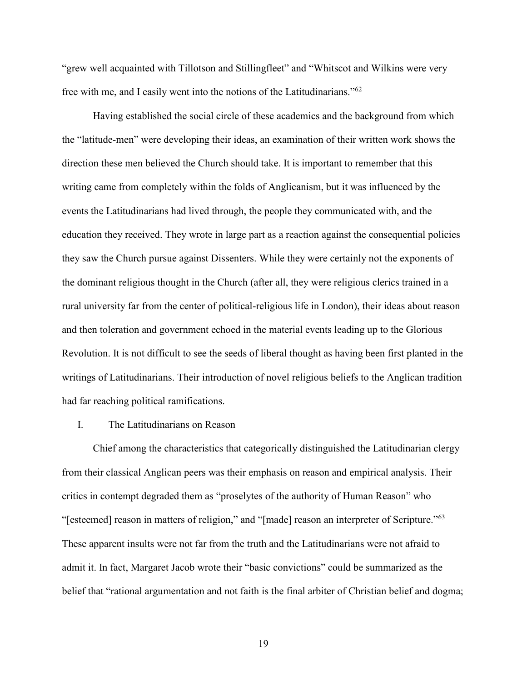"grew well acquainted with Tillotson and Stillingfleet" and "Whitscot and Wilkins were very free with me, and I easily went into the notions of the Latitudinarians."<sup>62</sup>

Having established the social circle of these academics and the background from which the "latitude-men" were developing their ideas, an examination of their written work shows the direction these men believed the Church should take. It is important to remember that this writing came from completely within the folds of Anglicanism, but it was influenced by the events the Latitudinarians had lived through, the people they communicated with, and the education they received. They wrote in large part as a reaction against the consequential policies they saw the Church pursue against Dissenters. While they were certainly not the exponents of the dominant religious thought in the Church (after all, they were religious clerics trained in a rural university far from the center of political-religious life in London), their ideas about reason and then toleration and government echoed in the material events leading up to the Glorious Revolution. It is not difficult to see the seeds of liberal thought as having been first planted in the writings of Latitudinarians. Their introduction of novel religious beliefs to the Anglican tradition had far reaching political ramifications.

## I. The Latitudinarians on Reason

Chief among the characteristics that categorically distinguished the Latitudinarian clergy from their classical Anglican peers was their emphasis on reason and empirical analysis. Their critics in contempt degraded them as "proselytes of the authority of Human Reason" who "[esteemed] reason in matters of religion," and "[made] reason an interpreter of Scripture."<sup>63</sup> These apparent insults were not far from the truth and the Latitudinarians were not afraid to admit it. In fact, Margaret Jacob wrote their "basic convictions" could be summarized as the belief that "rational argumentation and not faith is the final arbiter of Christian belief and dogma;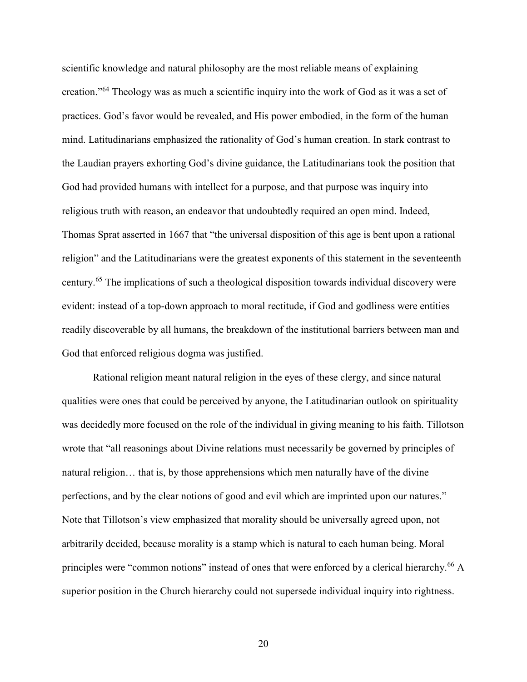scientific knowledge and natural philosophy are the most reliable means of explaining creation."<sup>64</sup> Theology was as much a scientific inquiry into the work of God as it was a set of practices. God's favor would be revealed, and His power embodied, in the form of the human mind. Latitudinarians emphasized the rationality of God's human creation. In stark contrast to the Laudian prayers exhorting God's divine guidance, the Latitudinarians took the position that God had provided humans with intellect for a purpose, and that purpose was inquiry into religious truth with reason, an endeavor that undoubtedly required an open mind. Indeed, Thomas Sprat asserted in 1667 that "the universal disposition of this age is bent upon a rational religion" and the Latitudinarians were the greatest exponents of this statement in the seventeenth century.<sup>65</sup> The implications of such a theological disposition towards individual discovery were evident: instead of a top-down approach to moral rectitude, if God and godliness were entities readily discoverable by all humans, the breakdown of the institutional barriers between man and God that enforced religious dogma was justified.

Rational religion meant natural religion in the eyes of these clergy, and since natural qualities were ones that could be perceived by anyone, the Latitudinarian outlook on spirituality was decidedly more focused on the role of the individual in giving meaning to his faith. Tillotson wrote that "all reasonings about Divine relations must necessarily be governed by principles of natural religion… that is, by those apprehensions which men naturally have of the divine perfections, and by the clear notions of good and evil which are imprinted upon our natures." Note that Tillotson's view emphasized that morality should be universally agreed upon, not arbitrarily decided, because morality is a stamp which is natural to each human being. Moral principles were "common notions" instead of ones that were enforced by a clerical hierarchy.<sup>66</sup> A superior position in the Church hierarchy could not supersede individual inquiry into rightness.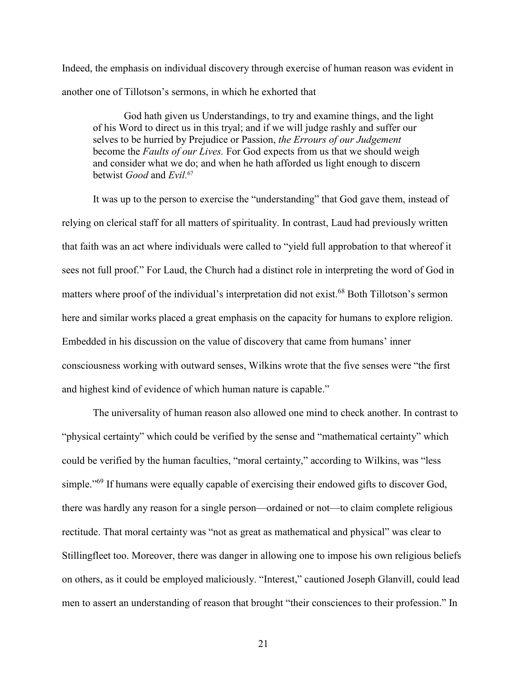Indeed, the emphasis on individual discovery through exercise of human reason was evident in another one of Tillotson's sermons, in which he exhorted that

God hath given us Understandings, to try and examine things, and the light of his Word to direct us in this tryal; and if we will judge rashly and suffer our selves to be hurried by Prejudice or Passion, *the Errours of our Judgement*  become the *Faults of our Lives.* For God expects from us that we should weigh and consider what we do; and when he hath afforded us light enough to discern betwist *Good* and *Evil.* 67

It was up to the person to exercise the "understanding" that God gave them, instead of relying on clerical staff for all matters of spirituality. In contrast, Laud had previously written that faith was an act where individuals were called to "yield full approbation to that whereof it sees not full proof." For Laud, the Church had a distinct role in interpreting the word of God in matters where proof of the individual's interpretation did not exist.<sup>68</sup> Both Tillotson's sermon here and similar works placed a great emphasis on the capacity for humans to explore religion. Embedded in his discussion on the value of discovery that came from humans' inner consciousness working with outward senses, Wilkins wrote that the five senses were "the first and highest kind of evidence of which human nature is capable."

The universality of human reason also allowed one mind to check another. In contrast to "physical certainty" which could be verified by the sense and "mathematical certainty" which could be verified by the human faculties, "moral certainty," according to Wilkins, was "less simple."<sup>69</sup> If humans were equally capable of exercising their endowed gifts to discover God, there was hardly any reason for a single person—ordained or not—to claim complete religious rectitude. That moral certainty was "not as great as mathematical and physical" was clear to Stillingfleet too. Moreover, there was danger in allowing one to impose his own religious beliefs on others, as it could be employed maliciously. "Interest," cautioned Joseph Glanvill, could lead men to assert an understanding of reason that brought "their consciences to their profession." In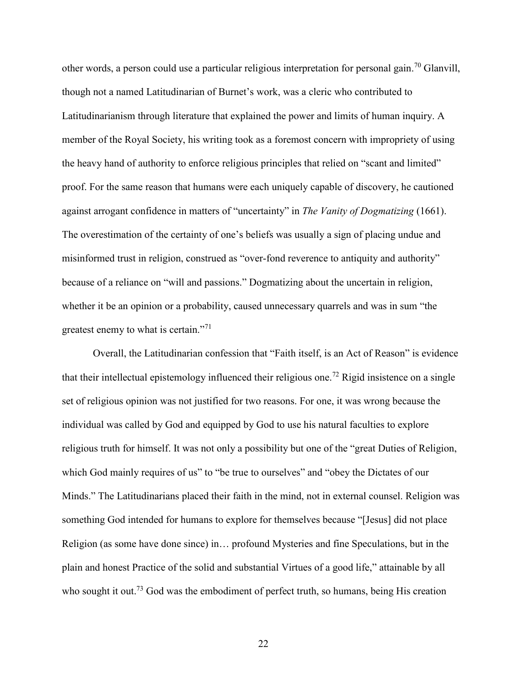other words, a person could use a particular religious interpretation for personal gain.<sup>70</sup> Glanvill, though not a named Latitudinarian of Burnet's work, was a cleric who contributed to Latitudinarianism through literature that explained the power and limits of human inquiry. A member of the Royal Society, his writing took as a foremost concern with impropriety of using the heavy hand of authority to enforce religious principles that relied on "scant and limited" proof. For the same reason that humans were each uniquely capable of discovery, he cautioned against arrogant confidence in matters of "uncertainty" in *The Vanity of Dogmatizing* (1661). The overestimation of the certainty of one's beliefs was usually a sign of placing undue and misinformed trust in religion, construed as "over-fond reverence to antiquity and authority" because of a reliance on "will and passions." Dogmatizing about the uncertain in religion, whether it be an opinion or a probability, caused unnecessary quarrels and was in sum "the greatest enemy to what is certain."<sup>71</sup>

Overall, the Latitudinarian confession that "Faith itself, is an Act of Reason" is evidence that their intellectual epistemology influenced their religious one.<sup>72</sup> Rigid insistence on a single set of religious opinion was not justified for two reasons. For one, it was wrong because the individual was called by God and equipped by God to use his natural faculties to explore religious truth for himself. It was not only a possibility but one of the "great Duties of Religion, which God mainly requires of us" to "be true to ourselves" and "obey the Dictates of our Minds." The Latitudinarians placed their faith in the mind, not in external counsel. Religion was something God intended for humans to explore for themselves because "[Jesus] did not place Religion (as some have done since) in… profound Mysteries and fine Speculations, but in the plain and honest Practice of the solid and substantial Virtues of a good life," attainable by all who sought it out.<sup>73</sup> God was the embodiment of perfect truth, so humans, being His creation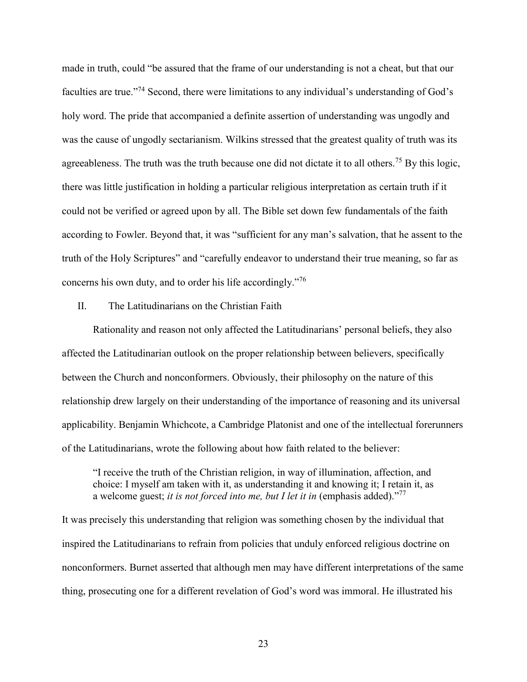made in truth, could "be assured that the frame of our understanding is not a cheat, but that our faculties are true."<sup>74</sup> Second, there were limitations to any individual's understanding of God's holy word. The pride that accompanied a definite assertion of understanding was ungodly and was the cause of ungodly sectarianism. Wilkins stressed that the greatest quality of truth was its agreeableness. The truth was the truth because one did not dictate it to all others.<sup>75</sup> By this logic, there was little justification in holding a particular religious interpretation as certain truth if it could not be verified or agreed upon by all. The Bible set down few fundamentals of the faith according to Fowler. Beyond that, it was "sufficient for any man's salvation, that he assent to the truth of the Holy Scriptures" and "carefully endeavor to understand their true meaning, so far as concerns his own duty, and to order his life accordingly."<sup>76</sup>

#### II. The Latitudinarians on the Christian Faith

Rationality and reason not only affected the Latitudinarians' personal beliefs, they also affected the Latitudinarian outlook on the proper relationship between believers, specifically between the Church and nonconformers. Obviously, their philosophy on the nature of this relationship drew largely on their understanding of the importance of reasoning and its universal applicability. Benjamin Whichcote, a Cambridge Platonist and one of the intellectual forerunners of the Latitudinarians, wrote the following about how faith related to the believer:

"I receive the truth of the Christian religion, in way of illumination, affection, and choice: I myself am taken with it, as understanding it and knowing it; I retain it, as a welcome guest; *it is not forced into me, but I let it in* (emphasis added)."<sup>77</sup>

It was precisely this understanding that religion was something chosen by the individual that inspired the Latitudinarians to refrain from policies that unduly enforced religious doctrine on nonconformers. Burnet asserted that although men may have different interpretations of the same thing, prosecuting one for a different revelation of God's word was immoral. He illustrated his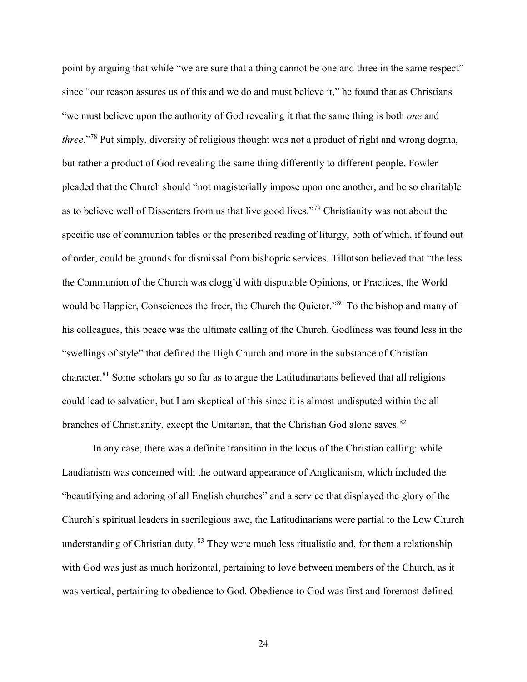point by arguing that while "we are sure that a thing cannot be one and three in the same respect" since "our reason assures us of this and we do and must believe it," he found that as Christians "we must believe upon the authority of God revealing it that the same thing is both *one* and *three*."<sup>78</sup> Put simply, diversity of religious thought was not a product of right and wrong dogma, but rather a product of God revealing the same thing differently to different people. Fowler pleaded that the Church should "not magisterially impose upon one another, and be so charitable as to believe well of Dissenters from us that live good lives."<sup>79</sup> Christianity was not about the specific use of communion tables or the prescribed reading of liturgy, both of which, if found out of order, could be grounds for dismissal from bishopric services. Tillotson believed that "the less the Communion of the Church was clogg'd with disputable Opinions, or Practices, the World would be Happier, Consciences the freer, the Church the Quieter."<sup>80</sup> To the bishop and many of his colleagues, this peace was the ultimate calling of the Church. Godliness was found less in the "swellings of style" that defined the High Church and more in the substance of Christian character.<sup>81</sup> Some scholars go so far as to argue the Latitudinarians believed that all religions could lead to salvation, but I am skeptical of this since it is almost undisputed within the all branches of Christianity, except the Unitarian, that the Christian God alone saves.<sup>82</sup>

In any case, there was a definite transition in the locus of the Christian calling: while Laudianism was concerned with the outward appearance of Anglicanism, which included the "beautifying and adoring of all English churches" and a service that displayed the glory of the Church's spiritual leaders in sacrilegious awe, the Latitudinarians were partial to the Low Church understanding of Christian duty. <sup>83</sup> They were much less ritualistic and, for them a relationship with God was just as much horizontal, pertaining to love between members of the Church, as it was vertical, pertaining to obedience to God. Obedience to God was first and foremost defined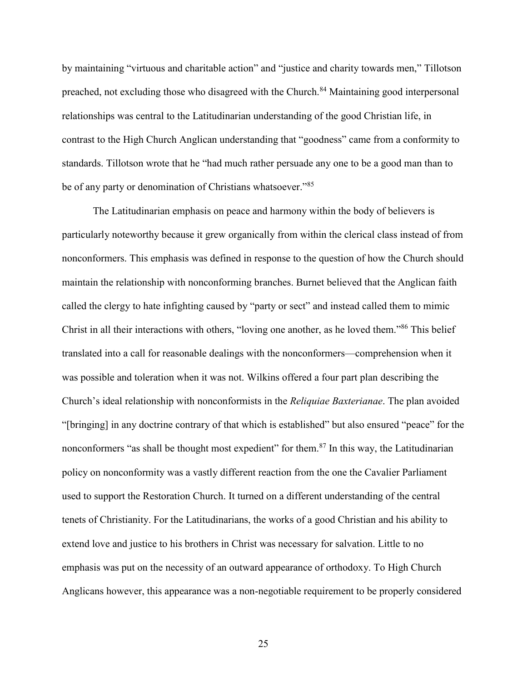by maintaining "virtuous and charitable action" and "justice and charity towards men," Tillotson preached, not excluding those who disagreed with the Church.<sup>84</sup> Maintaining good interpersonal relationships was central to the Latitudinarian understanding of the good Christian life, in contrast to the High Church Anglican understanding that "goodness" came from a conformity to standards. Tillotson wrote that he "had much rather persuade any one to be a good man than to be of any party or denomination of Christians whatsoever."<sup>85</sup>

The Latitudinarian emphasis on peace and harmony within the body of believers is particularly noteworthy because it grew organically from within the clerical class instead of from nonconformers. This emphasis was defined in response to the question of how the Church should maintain the relationship with nonconforming branches. Burnet believed that the Anglican faith called the clergy to hate infighting caused by "party or sect" and instead called them to mimic Christ in all their interactions with others, "loving one another, as he loved them."<sup>86</sup> This belief translated into a call for reasonable dealings with the nonconformers—comprehension when it was possible and toleration when it was not. Wilkins offered a four part plan describing the Church's ideal relationship with nonconformists in the *Reliquiae Baxterianae*. The plan avoided "[bringing] in any doctrine contrary of that which is established" but also ensured "peace" for the nonconformers "as shall be thought most expedient" for them.<sup>87</sup> In this way, the Latitudinarian policy on nonconformity was a vastly different reaction from the one the Cavalier Parliament used to support the Restoration Church. It turned on a different understanding of the central tenets of Christianity. For the Latitudinarians, the works of a good Christian and his ability to extend love and justice to his brothers in Christ was necessary for salvation. Little to no emphasis was put on the necessity of an outward appearance of orthodoxy. To High Church Anglicans however, this appearance was a non-negotiable requirement to be properly considered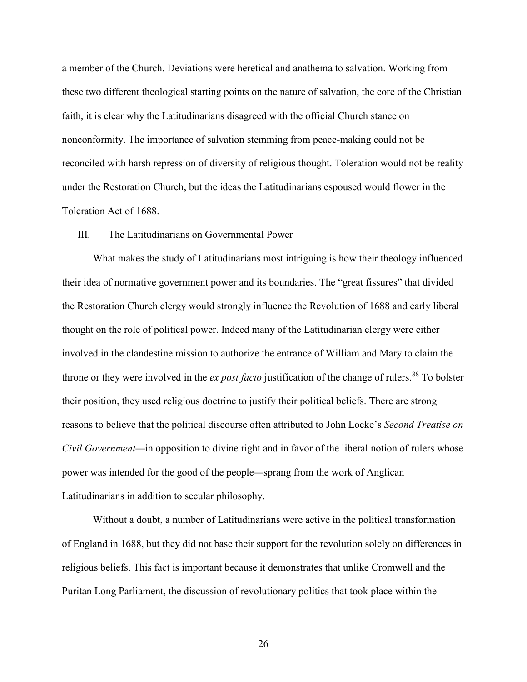a member of the Church. Deviations were heretical and anathema to salvation. Working from these two different theological starting points on the nature of salvation, the core of the Christian faith, it is clear why the Latitudinarians disagreed with the official Church stance on nonconformity. The importance of salvation stemming from peace-making could not be reconciled with harsh repression of diversity of religious thought. Toleration would not be reality under the Restoration Church, but the ideas the Latitudinarians espoused would flower in the Toleration Act of 1688.

#### III. The Latitudinarians on Governmental Power

What makes the study of Latitudinarians most intriguing is how their theology influenced their idea of normative government power and its boundaries. The "great fissures" that divided the Restoration Church clergy would strongly influence the Revolution of 1688 and early liberal thought on the role of political power. Indeed many of the Latitudinarian clergy were either involved in the clandestine mission to authorize the entrance of William and Mary to claim the throne or they were involved in the *ex post facto* justification of the change of rulers.<sup>88</sup> To bolster their position, they used religious doctrine to justify their political beliefs. There are strong reasons to believe that the political discourse often attributed to John Locke's *Second Treatise on Civil Government*—in opposition to divine right and in favor of the liberal notion of rulers whose power was intended for the good of the people—sprang from the work of Anglican Latitudinarians in addition to secular philosophy.

Without a doubt, a number of Latitudinarians were active in the political transformation of England in 1688, but they did not base their support for the revolution solely on differences in religious beliefs. This fact is important because it demonstrates that unlike Cromwell and the Puritan Long Parliament, the discussion of revolutionary politics that took place within the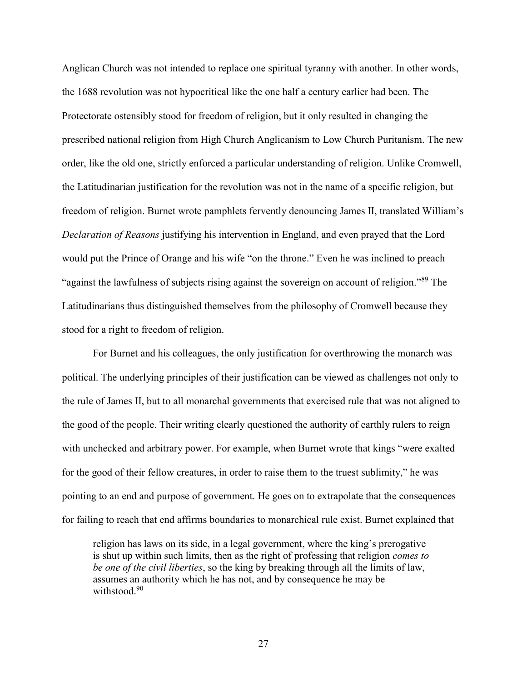Anglican Church was not intended to replace one spiritual tyranny with another. In other words, the 1688 revolution was not hypocritical like the one half a century earlier had been. The Protectorate ostensibly stood for freedom of religion, but it only resulted in changing the prescribed national religion from High Church Anglicanism to Low Church Puritanism. The new order, like the old one, strictly enforced a particular understanding of religion. Unlike Cromwell, the Latitudinarian justification for the revolution was not in the name of a specific religion, but freedom of religion. Burnet wrote pamphlets fervently denouncing James II, translated William's *Declaration of Reasons* justifying his intervention in England, and even prayed that the Lord would put the Prince of Orange and his wife "on the throne." Even he was inclined to preach "against the lawfulness of subjects rising against the sovereign on account of religion."<sup>89</sup> The Latitudinarians thus distinguished themselves from the philosophy of Cromwell because they stood for a right to freedom of religion.

For Burnet and his colleagues, the only justification for overthrowing the monarch was political. The underlying principles of their justification can be viewed as challenges not only to the rule of James II, but to all monarchal governments that exercised rule that was not aligned to the good of the people. Their writing clearly questioned the authority of earthly rulers to reign with unchecked and arbitrary power. For example, when Burnet wrote that kings "were exalted for the good of their fellow creatures, in order to raise them to the truest sublimity," he was pointing to an end and purpose of government. He goes on to extrapolate that the consequences for failing to reach that end affirms boundaries to monarchical rule exist. Burnet explained that

religion has laws on its side, in a legal government, where the king's prerogative is shut up within such limits, then as the right of professing that religion *comes to be one of the civil liberties*, so the king by breaking through all the limits of law, assumes an authority which he has not, and by consequence he may be withstood.<sup>90</sup>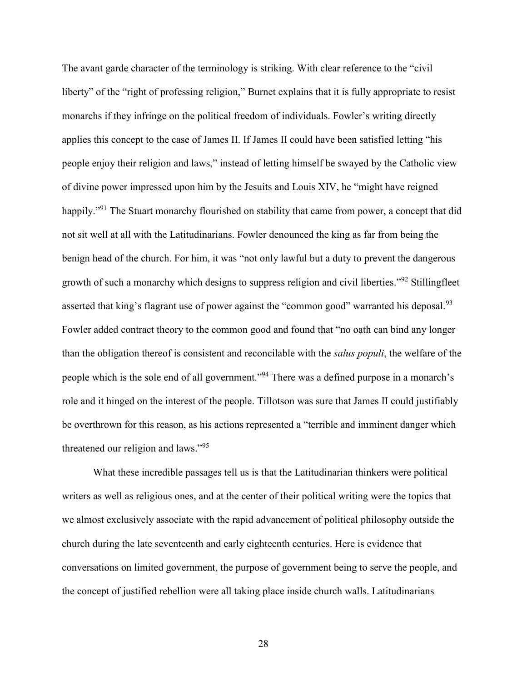The avant garde character of the terminology is striking. With clear reference to the "civil liberty" of the "right of professing religion," Burnet explains that it is fully appropriate to resist monarchs if they infringe on the political freedom of individuals. Fowler's writing directly applies this concept to the case of James II. If James II could have been satisfied letting "his people enjoy their religion and laws," instead of letting himself be swayed by the Catholic view of divine power impressed upon him by the Jesuits and Louis XIV, he "might have reigned happily."<sup>91</sup> The Stuart monarchy flourished on stability that came from power, a concept that did not sit well at all with the Latitudinarians. Fowler denounced the king as far from being the benign head of the church. For him, it was "not only lawful but a duty to prevent the dangerous growth of such a monarchy which designs to suppress religion and civil liberties."<sup>92</sup> Stillingfleet asserted that king's flagrant use of power against the "common good" warranted his deposal.<sup>93</sup> Fowler added contract theory to the common good and found that "no oath can bind any longer than the obligation thereof is consistent and reconcilable with the *salus populi*, the welfare of the people which is the sole end of all government."<sup>94</sup> There was a defined purpose in a monarch's role and it hinged on the interest of the people. Tillotson was sure that James II could justifiably be overthrown for this reason, as his actions represented a "terrible and imminent danger which threatened our religion and laws."<sup>95</sup>

What these incredible passages tell us is that the Latitudinarian thinkers were political writers as well as religious ones, and at the center of their political writing were the topics that we almost exclusively associate with the rapid advancement of political philosophy outside the church during the late seventeenth and early eighteenth centuries. Here is evidence that conversations on limited government, the purpose of government being to serve the people, and the concept of justified rebellion were all taking place inside church walls. Latitudinarians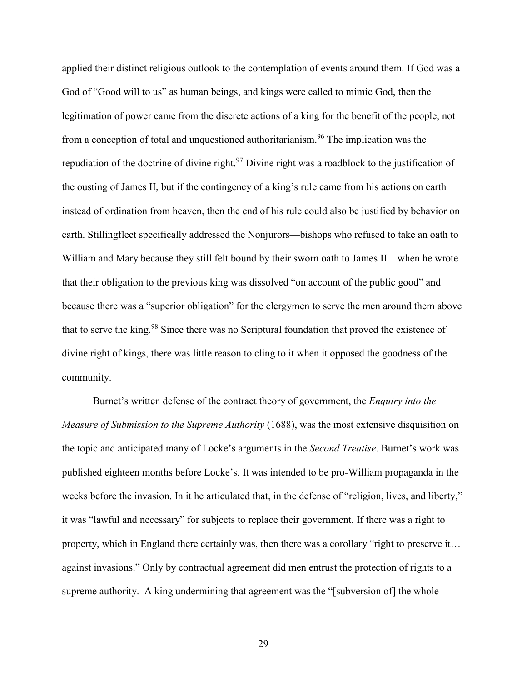applied their distinct religious outlook to the contemplation of events around them. If God was a God of "Good will to us" as human beings, and kings were called to mimic God, then the legitimation of power came from the discrete actions of a king for the benefit of the people, not from a conception of total and unquestioned authoritarianism.<sup>96</sup> The implication was the repudiation of the doctrine of divine right.<sup>97</sup> Divine right was a roadblock to the justification of the ousting of James II, but if the contingency of a king's rule came from his actions on earth instead of ordination from heaven, then the end of his rule could also be justified by behavior on earth. Stillingfleet specifically addressed the Nonjurors—bishops who refused to take an oath to William and Mary because they still felt bound by their sworn oath to James II—when he wrote that their obligation to the previous king was dissolved "on account of the public good" and because there was a "superior obligation" for the clergymen to serve the men around them above that to serve the king.<sup>98</sup> Since there was no Scriptural foundation that proved the existence of divine right of kings, there was little reason to cling to it when it opposed the goodness of the community.

Burnet's written defense of the contract theory of government, the *Enquiry into the Measure of Submission to the Supreme Authority* (1688), was the most extensive disquisition on the topic and anticipated many of Locke's arguments in the *Second Treatise*. Burnet's work was published eighteen months before Locke's. It was intended to be pro-William propaganda in the weeks before the invasion. In it he articulated that, in the defense of "religion, lives, and liberty," it was "lawful and necessary" for subjects to replace their government. If there was a right to property, which in England there certainly was, then there was a corollary "right to preserve it… against invasions." Only by contractual agreement did men entrust the protection of rights to a supreme authority. A king undermining that agreement was the "[subversion of] the whole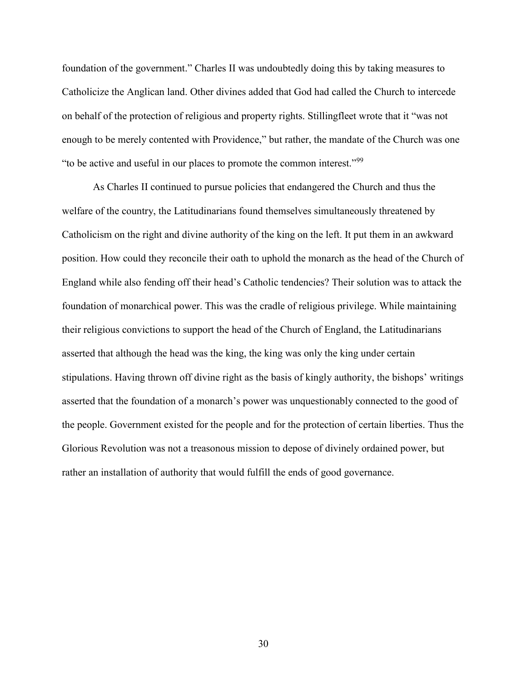foundation of the government." Charles II was undoubtedly doing this by taking measures to Catholicize the Anglican land. Other divines added that God had called the Church to intercede on behalf of the protection of religious and property rights. Stillingfleet wrote that it "was not enough to be merely contented with Providence," but rather, the mandate of the Church was one "to be active and useful in our places to promote the common interest."<sup>99</sup>

As Charles II continued to pursue policies that endangered the Church and thus the welfare of the country, the Latitudinarians found themselves simultaneously threatened by Catholicism on the right and divine authority of the king on the left. It put them in an awkward position. How could they reconcile their oath to uphold the monarch as the head of the Church of England while also fending off their head's Catholic tendencies? Their solution was to attack the foundation of monarchical power. This was the cradle of religious privilege. While maintaining their religious convictions to support the head of the Church of England, the Latitudinarians asserted that although the head was the king, the king was only the king under certain stipulations. Having thrown off divine right as the basis of kingly authority, the bishops' writings asserted that the foundation of a monarch's power was unquestionably connected to the good of the people. Government existed for the people and for the protection of certain liberties. Thus the Glorious Revolution was not a treasonous mission to depose of divinely ordained power, but rather an installation of authority that would fulfill the ends of good governance.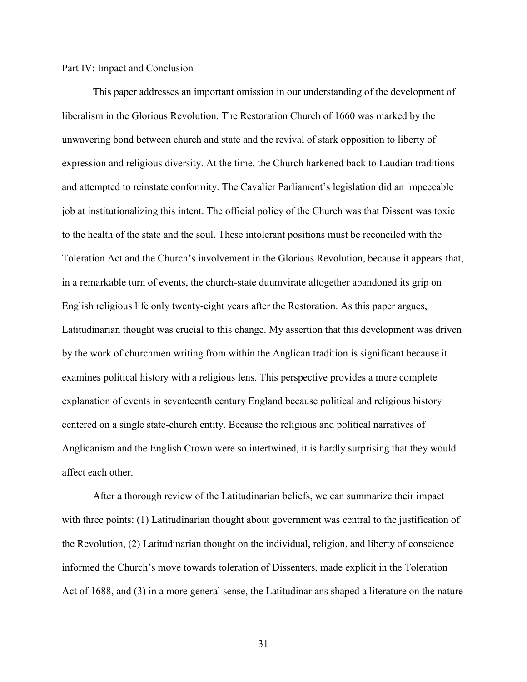## Part IV: Impact and Conclusion

This paper addresses an important omission in our understanding of the development of liberalism in the Glorious Revolution. The Restoration Church of 1660 was marked by the unwavering bond between church and state and the revival of stark opposition to liberty of expression and religious diversity. At the time, the Church harkened back to Laudian traditions and attempted to reinstate conformity. The Cavalier Parliament's legislation did an impeccable job at institutionalizing this intent. The official policy of the Church was that Dissent was toxic to the health of the state and the soul. These intolerant positions must be reconciled with the Toleration Act and the Church's involvement in the Glorious Revolution, because it appears that, in a remarkable turn of events, the church-state duumvirate altogether abandoned its grip on English religious life only twenty-eight years after the Restoration. As this paper argues, Latitudinarian thought was crucial to this change. My assertion that this development was driven by the work of churchmen writing from within the Anglican tradition is significant because it examines political history with a religious lens. This perspective provides a more complete explanation of events in seventeenth century England because political and religious history centered on a single state-church entity. Because the religious and political narratives of Anglicanism and the English Crown were so intertwined, it is hardly surprising that they would affect each other.

After a thorough review of the Latitudinarian beliefs, we can summarize their impact with three points: (1) Latitudinarian thought about government was central to the justification of the Revolution, (2) Latitudinarian thought on the individual, religion, and liberty of conscience informed the Church's move towards toleration of Dissenters, made explicit in the Toleration Act of 1688, and (3) in a more general sense, the Latitudinarians shaped a literature on the nature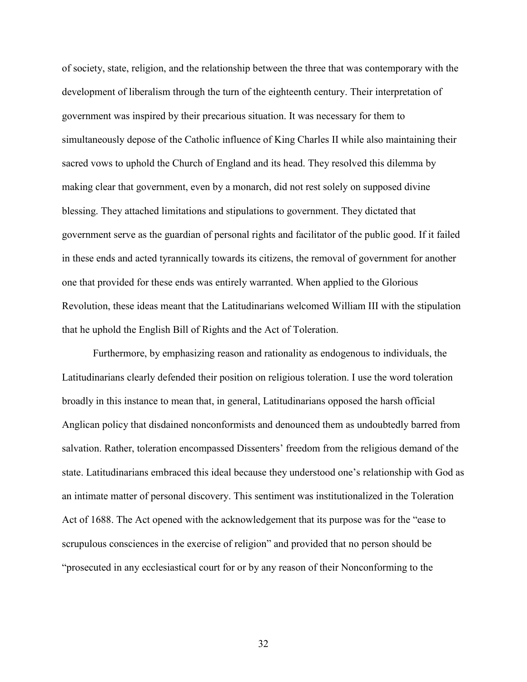of society, state, religion, and the relationship between the three that was contemporary with the development of liberalism through the turn of the eighteenth century. Their interpretation of government was inspired by their precarious situation. It was necessary for them to simultaneously depose of the Catholic influence of King Charles II while also maintaining their sacred vows to uphold the Church of England and its head. They resolved this dilemma by making clear that government, even by a monarch, did not rest solely on supposed divine blessing. They attached limitations and stipulations to government. They dictated that government serve as the guardian of personal rights and facilitator of the public good. If it failed in these ends and acted tyrannically towards its citizens, the removal of government for another one that provided for these ends was entirely warranted. When applied to the Glorious Revolution, these ideas meant that the Latitudinarians welcomed William III with the stipulation that he uphold the English Bill of Rights and the Act of Toleration.

Furthermore, by emphasizing reason and rationality as endogenous to individuals, the Latitudinarians clearly defended their position on religious toleration. I use the word toleration broadly in this instance to mean that, in general, Latitudinarians opposed the harsh official Anglican policy that disdained nonconformists and denounced them as undoubtedly barred from salvation. Rather, toleration encompassed Dissenters' freedom from the religious demand of the state. Latitudinarians embraced this ideal because they understood one's relationship with God as an intimate matter of personal discovery. This sentiment was institutionalized in the Toleration Act of 1688. The Act opened with the acknowledgement that its purpose was for the "ease to scrupulous consciences in the exercise of religion" and provided that no person should be "prosecuted in any ecclesiastical court for or by any reason of their Nonconforming to the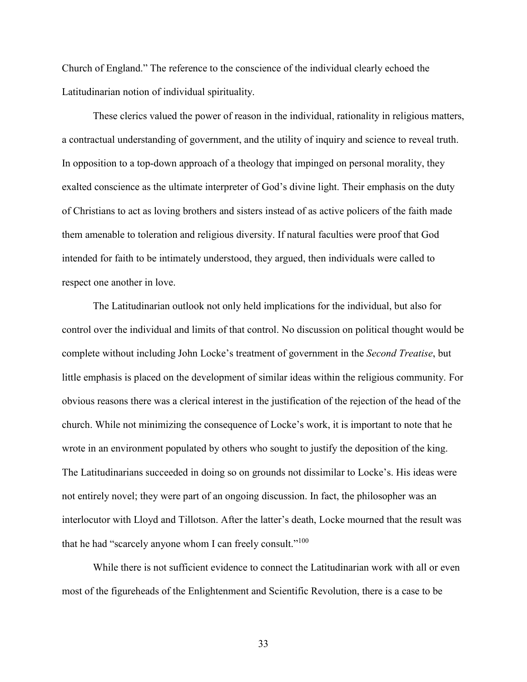Church of England." The reference to the conscience of the individual clearly echoed the Latitudinarian notion of individual spirituality.

These clerics valued the power of reason in the individual, rationality in religious matters, a contractual understanding of government, and the utility of inquiry and science to reveal truth. In opposition to a top-down approach of a theology that impinged on personal morality, they exalted conscience as the ultimate interpreter of God's divine light. Their emphasis on the duty of Christians to act as loving brothers and sisters instead of as active policers of the faith made them amenable to toleration and religious diversity. If natural faculties were proof that God intended for faith to be intimately understood, they argued, then individuals were called to respect one another in love.

The Latitudinarian outlook not only held implications for the individual, but also for control over the individual and limits of that control. No discussion on political thought would be complete without including John Locke's treatment of government in the *Second Treatise*, but little emphasis is placed on the development of similar ideas within the religious community. For obvious reasons there was a clerical interest in the justification of the rejection of the head of the church. While not minimizing the consequence of Locke's work, it is important to note that he wrote in an environment populated by others who sought to justify the deposition of the king. The Latitudinarians succeeded in doing so on grounds not dissimilar to Locke's. His ideas were not entirely novel; they were part of an ongoing discussion. In fact, the philosopher was an interlocutor with Lloyd and Tillotson. After the latter's death, Locke mourned that the result was that he had "scarcely anyone whom I can freely consult."<sup>100</sup>

While there is not sufficient evidence to connect the Latitudinarian work with all or even most of the figureheads of the Enlightenment and Scientific Revolution, there is a case to be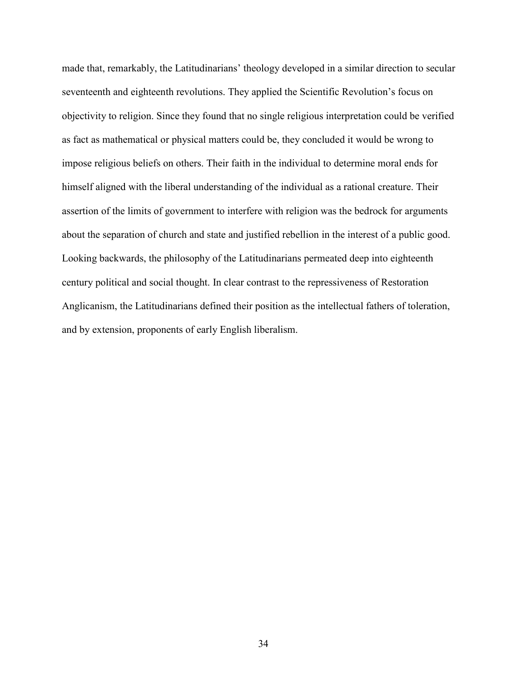made that, remarkably, the Latitudinarians' theology developed in a similar direction to secular seventeenth and eighteenth revolutions. They applied the Scientific Revolution's focus on objectivity to religion. Since they found that no single religious interpretation could be verified as fact as mathematical or physical matters could be, they concluded it would be wrong to impose religious beliefs on others. Their faith in the individual to determine moral ends for himself aligned with the liberal understanding of the individual as a rational creature. Their assertion of the limits of government to interfere with religion was the bedrock for arguments about the separation of church and state and justified rebellion in the interest of a public good. Looking backwards, the philosophy of the Latitudinarians permeated deep into eighteenth century political and social thought. In clear contrast to the repressiveness of Restoration Anglicanism, the Latitudinarians defined their position as the intellectual fathers of toleration, and by extension, proponents of early English liberalism.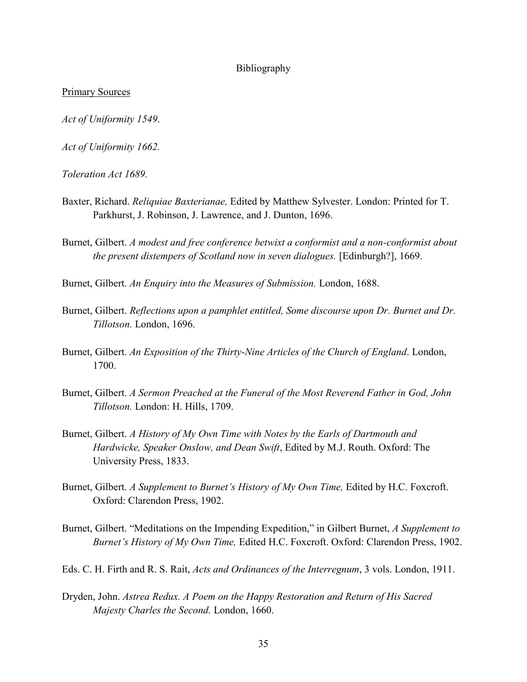#### Bibliography

#### Primary Sources

*Act of Uniformity 1549*.

*Act of Uniformity 1662.*

*Toleration Act 1689.*

- Baxter, Richard. *Reliquiae Baxterianae,* Edited by Matthew Sylvester. London: Printed for T. Parkhurst, J. Robinson, J. Lawrence, and J. Dunton, 1696.
- Burnet, Gilbert. *A modest and free conference betwixt a conformist and a non-conformist about the present distempers of Scotland now in seven dialogues.* [Edinburgh?], 1669.

Burnet, Gilbert. *An Enquiry into the Measures of Submission.* London, 1688.

- Burnet, Gilbert. *Reflections upon a pamphlet entitled, Some discourse upon Dr. Burnet and Dr. Tillotson.* London, 1696.
- Burnet, Gilbert. *An Exposition of the Thirty-Nine Articles of the Church of England*. London, 1700.
- Burnet, Gilbert. *A Sermon Preached at the Funeral of the Most Reverend Father in God, John Tillotson.* London: H. Hills, 1709.
- Burnet, Gilbert. *A History of My Own Time with Notes by the Earls of Dartmouth and Hardwicke, Speaker Onslow, and Dean Swift*, Edited by M.J. Routh. Oxford: The University Press, 1833.
- Burnet, Gilbert. *A Supplement to Burnet's History of My Own Time,* Edited by H.C. Foxcroft. Oxford: Clarendon Press, 1902.
- Burnet, Gilbert. "Meditations on the Impending Expedition," in Gilbert Burnet, *A Supplement to Burnet's History of My Own Time,* Edited H.C. Foxcroft. Oxford: Clarendon Press, 1902.
- Eds. C. H. Firth and R. S. Rait, *Acts and Ordinances of the Interregnum*, 3 vols. London, 1911.
- Dryden, John. *Astrea Redux. A Poem on the Happy Restoration and Return of His Sacred Majesty Charles the Second.* London, 1660.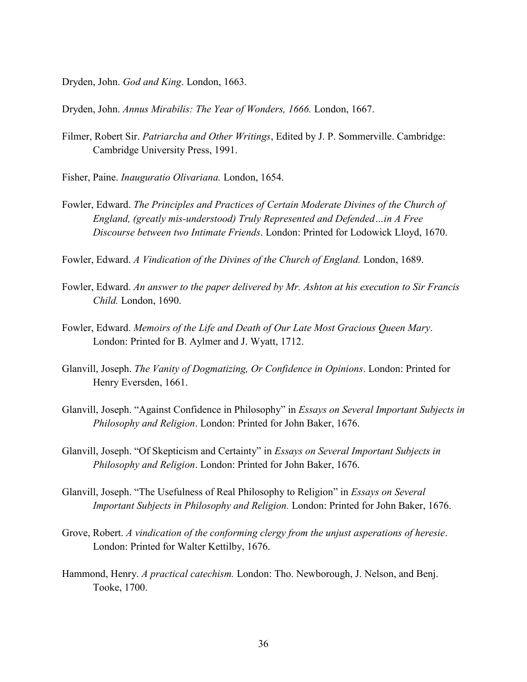- Dryden, John. *God and King*. London, 1663.
- Dryden, John. *Annus Mirabilis: The Year of Wonders, 1666.* London, 1667.
- Filmer, Robert Sir. *Patriarcha and Other Writings*, Edited by J. P. Sommerville. Cambridge: Cambridge University Press, 1991.
- Fisher, Paine. *Inauguratio Olivariana.* London, 1654.
- Fowler, Edward. *The Principles and Practices of Certain Moderate Divines of the Church of England, (greatly mis-understood) Truly Represented and Defended…in A Free Discourse between two Intimate Friends*. London: Printed for Lodowick Lloyd, 1670.
- Fowler, Edward. *A Vindication of the Divines of the Church of England.* London, 1689.
- Fowler, Edward. *An answer to the paper delivered by Mr. Ashton at his execution to Sir Francis Child.* London, 1690.
- Fowler, Edward. *Memoirs of the Life and Death of Our Late Most Gracious Queen Mary*. London: Printed for B. Aylmer and J. Wyatt, 1712.
- Glanvill, Joseph. *The Vanity of Dogmatizing, Or Confidence in Opinions*. London: Printed for Henry Eversden, 1661.
- Glanvill, Joseph. "Against Confidence in Philosophy" in *Essays on Several Important Subjects in Philosophy and Religion*. London: Printed for John Baker, 1676.
- Glanvill, Joseph. "Of Skepticism and Certainty" in *Essays on Several Important Subjects in Philosophy and Religion*. London: Printed for John Baker, 1676.
- Glanvill, Joseph. "The Usefulness of Real Philosophy to Religion" in *Essays on Several Important Subjects in Philosophy and Religion.* London: Printed for John Baker, 1676.
- Grove, Robert. *A vindication of the conforming clergy from the unjust asperations of heresie*. London: Printed for Walter Kettilby, 1676.
- Hammond, Henry. *A practical catechism.* London: Tho. Newborough, J. Nelson, and Benj. Tooke, 1700.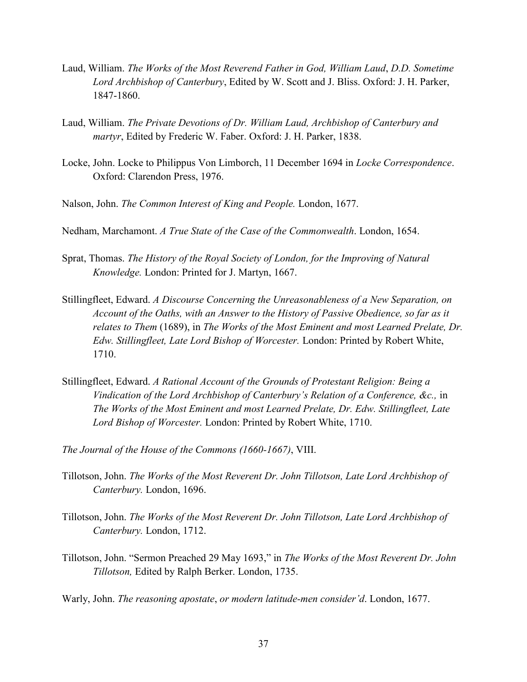- Laud, William. *The Works of the Most Reverend Father in God, William Laud*, *D.D. Sometime Lord Archbishop of Canterbury*, Edited by W. Scott and J. Bliss. Oxford: J. H. Parker, 1847-1860.
- Laud, William. *The Private Devotions of Dr. William Laud, Archbishop of Canterbury and martyr*, Edited by Frederic W. Faber. Oxford: J. H. Parker, 1838.
- Locke, John. Locke to Philippus Von Limborch, 11 December 1694 in *Locke Correspondence*. Oxford: Clarendon Press, 1976.
- Nalson, John. *The Common Interest of King and People.* London, 1677.
- Nedham, Marchamont. *A True State of the Case of the Commonwealth*. London, 1654.
- Sprat, Thomas. *The History of the Royal Society of London, for the Improving of Natural Knowledge.* London: Printed for J. Martyn, 1667.
- Stillingfleet, Edward. *A Discourse Concerning the Unreasonableness of a New Separation, on Account of the Oaths, with an Answer to the History of Passive Obedience, so far as it relates to Them* (1689), in *The Works of the Most Eminent and most Learned Prelate, Dr. Edw. Stillingfleet, Late Lord Bishop of Worcester.* London: Printed by Robert White, 1710.
- Stillingfleet, Edward. *A Rational Account of the Grounds of Protestant Religion: Being a Vindication of the Lord Archbishop of Canterbury's Relation of a Conference, &c.,* in *The Works of the Most Eminent and most Learned Prelate, Dr. Edw. Stillingfleet, Late Lord Bishop of Worcester.* London: Printed by Robert White, 1710.
- *The Journal of the House of the Commons (1660-1667)*, VIII.
- Tillotson, John. *The Works of the Most Reverent Dr. John Tillotson, Late Lord Archbishop of Canterbury.* London, 1696.
- Tillotson, John. *The Works of the Most Reverent Dr. John Tillotson, Late Lord Archbishop of Canterbury.* London, 1712.
- Tillotson, John. "Sermon Preached 29 May 1693," in *The Works of the Most Reverent Dr. John Tillotson,* Edited by Ralph Berker. London, 1735.
- Warly, John. *The reasoning apostate*, *or modern latitude-men consider'd*. London, 1677.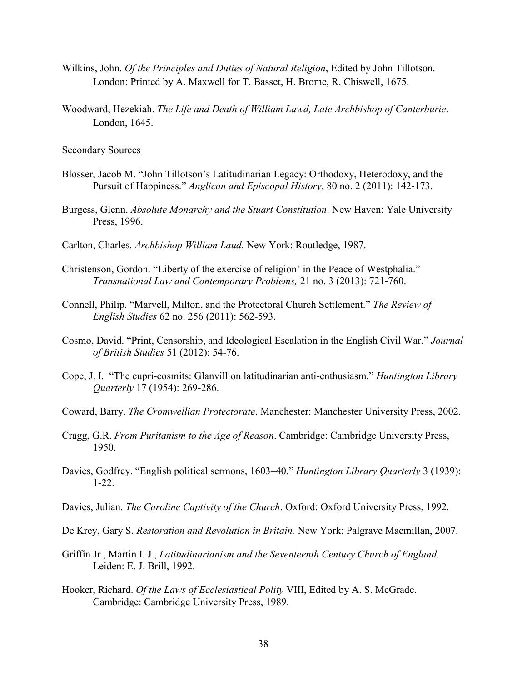- Wilkins, John. *Of the Principles and Duties of Natural Religion*, Edited by John Tillotson. London: Printed by A. Maxwell for T. Basset, H. Brome, R. Chiswell, 1675.
- Woodward, Hezekiah. *The Life and Death of William Lawd, Late Archbishop of Canterburie*. London, 1645.

#### Secondary Sources

- Blosser, Jacob M. "John Tillotson's Latitudinarian Legacy: Orthodoxy, Heterodoxy, and the Pursuit of Happiness." *Anglican and Episcopal History*, 80 no. 2 (2011): 142-173.
- Burgess, Glenn. *Absolute Monarchy and the Stuart Constitution*. New Haven: Yale University Press, 1996.
- Carlton, Charles. *Archbishop William Laud.* New York: Routledge, 1987.
- Christenson, Gordon. "Liberty of the exercise of religion' in the Peace of Westphalia." *Transnational Law and Contemporary Problems,* 21 no. 3 (2013): 721-760.
- Connell, Philip. "Marvell, Milton, and the Protectoral Church Settlement." *The Review of English Studies* 62 no. 256 (2011): 562-593.
- Cosmo, David. "Print, Censorship, and Ideological Escalation in the English Civil War." *Journal of British Studies* 51 (2012): 54-76.
- Cope, J. I. "The cupri-cosmits: Glanvill on latitudinarian anti-enthusiasm." *Huntington Library Quarterly* 17 (1954): 269-286.
- Coward, Barry. *The Cromwellian Protectorate*. Manchester: Manchester University Press, 2002.
- Cragg, G.R. *From Puritanism to the Age of Reason*. Cambridge: Cambridge University Press, 1950.
- Davies, Godfrey. "English political sermons, 1603–40." *Huntington Library Quarterly* 3 (1939): 1-22.
- Davies, Julian. *The Caroline Captivity of the Church*. Oxford: Oxford University Press, 1992.

De Krey, Gary S. *Restoration and Revolution in Britain.* New York: Palgrave Macmillan, 2007.

- Griffin Jr., Martin I. J., *Latitudinarianism and the Seventeenth Century Church of England.*  Leiden: E. J. Brill, 1992.
- Hooker, Richard. *Of the Laws of Ecclesiastical Polity* VIII, Edited by A. S. McGrade. Cambridge: Cambridge University Press, 1989.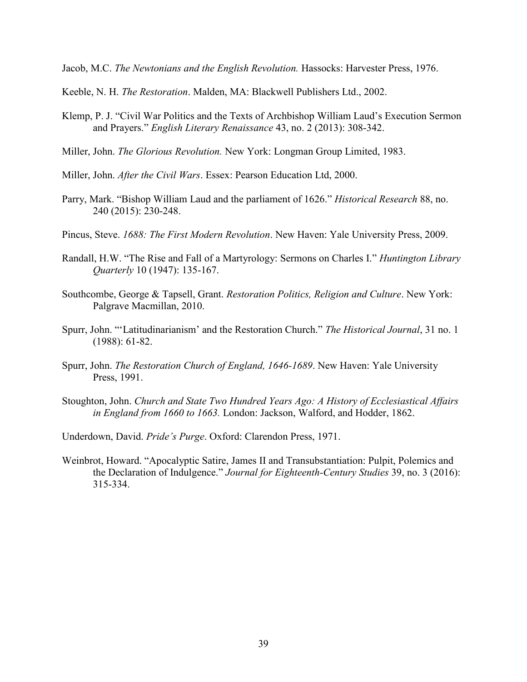Jacob, M.C. *The Newtonians and the English Revolution.* Hassocks: Harvester Press, 1976.

- Keeble, N. H. *The Restoration*. Malden, MA: Blackwell Publishers Ltd., 2002.
- Klemp, P. J. "Civil War Politics and the Texts of Archbishop William Laud's Execution Sermon and Prayers." *English Literary Renaissance* 43, no. 2 (2013): 308-342.
- Miller, John. *The Glorious Revolution.* New York: Longman Group Limited, 1983.
- Miller, John. *After the Civil Wars*. Essex: Pearson Education Ltd, 2000.
- Parry, Mark. "Bishop William Laud and the parliament of 1626." *Historical Research* 88, no. 240 (2015): 230-248.
- Pincus, Steve. *1688: The First Modern Revolution*. New Haven: Yale University Press, 2009.
- Randall, H.W. "The Rise and Fall of a Martyrology: Sermons on Charles I." *Huntington Library Quarterly* 10 (1947): 135-167.
- Southcombe, George & Tapsell, Grant. *Restoration Politics, Religion and Culture*. New York: Palgrave Macmillan, 2010.
- Spurr, John. "'Latitudinarianism' and the Restoration Church." *The Historical Journal*, 31 no. 1 (1988): 61-82.
- Spurr, John. *The Restoration Church of England, 1646-1689*. New Haven: Yale University Press, 1991.
- Stoughton, John. *Church and State Two Hundred Years Ago: A History of Ecclesiastical Affairs in England from 1660 to 1663.* London: Jackson, Walford, and Hodder, 1862.
- Underdown, David. *Pride's Purge*. Oxford: Clarendon Press, 1971.
- Weinbrot, Howard. "Apocalyptic Satire, James II and Transubstantiation: Pulpit, Polemics and the Declaration of Indulgence." *Journal for Eighteenth-Century Studies* 39, no. 3 (2016): 315-334.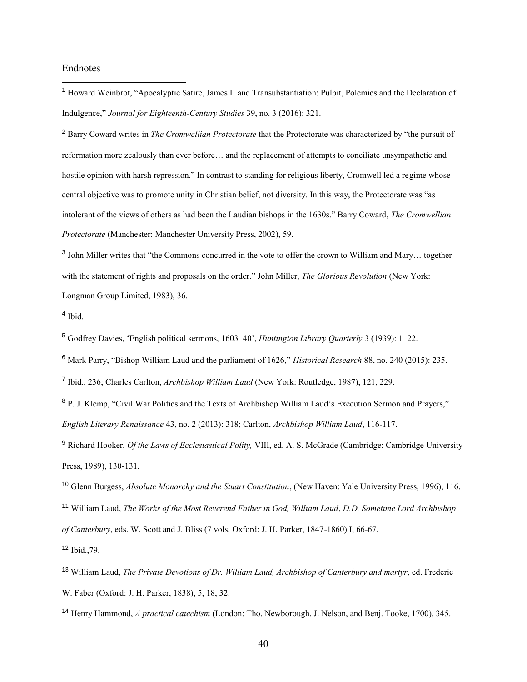#### Endnotes

 $\overline{a}$ 

<sup>1</sup> Howard Weinbrot, "Apocalyptic Satire, James II and Transubstantiation: Pulpit, Polemics and the Declaration of Indulgence," *Journal for Eighteenth-Century Studies* 39, no. 3 (2016): 321.

<sup>2</sup> Barry Coward writes in *The Cromwellian Protectorate* that the Protectorate was characterized by "the pursuit of reformation more zealously than ever before… and the replacement of attempts to conciliate unsympathetic and hostile opinion with harsh repression." In contrast to standing for religious liberty, Cromwell led a regime whose central objective was to promote unity in Christian belief, not diversity. In this way, the Protectorate was "as intolerant of the views of others as had been the Laudian bishops in the 1630s." Barry Coward, *The Cromwellian Protectorate* (Manchester: Manchester University Press, 2002), 59.

<sup>3</sup> John Miller writes that "the Commons concurred in the vote to offer the crown to William and Mary... together with the statement of rights and proposals on the order." John Miller, *The Glorious Revolution* (New York: Longman Group Limited, 1983), 36.

4 Ibid.

<sup>5</sup> Godfrey Davies, 'English political sermons, 1603–40', *Huntington Library Quarterly* 3 (1939): 1–22.

<sup>6</sup> Mark Parry, "Bishop William Laud and the parliament of 1626," *Historical Research* 88, no. 240 (2015): 235.

7 Ibid., 236; Charles Carlton, *Archbishop William Laud* (New York: Routledge, 1987), 121, 229.

<sup>8</sup> P. J. Klemp, "Civil War Politics and the Texts of Archbishop William Laud's Execution Sermon and Prayers," *English Literary Renaissance* 43, no. 2 (2013): 318; Carlton, *Archbishop William Laud*, 116-117.

<sup>9</sup> Richard Hooker, *Of the Laws of Ecclesiastical Polity,* VIII, ed. A. S. McGrade (Cambridge: Cambridge University Press, 1989), 130-131.

<sup>10</sup> Glenn Burgess, *Absolute Monarchy and the Stuart Constitution*, (New Haven: Yale University Press, 1996), 116.

<sup>11</sup> William Laud, *The Works of the Most Reverend Father in God, William Laud*, *D.D. Sometime Lord Archbishop* 

*of Canterbury*, eds. W. Scott and J. Bliss (7 vols, Oxford: J. H. Parker, 1847-1860) I, 66-67.

<sup>12</sup> Ibid.,79.

<sup>14</sup> Henry Hammond, *A practical catechism* (London: Tho. Newborough, J. Nelson, and Benj. Tooke, 1700), 345.

<sup>13</sup> William Laud, *The Private Devotions of Dr. William Laud, Archbishop of Canterbury and martyr*, ed. Frederic W. Faber (Oxford: J. H. Parker, 1838), 5, 18, 32.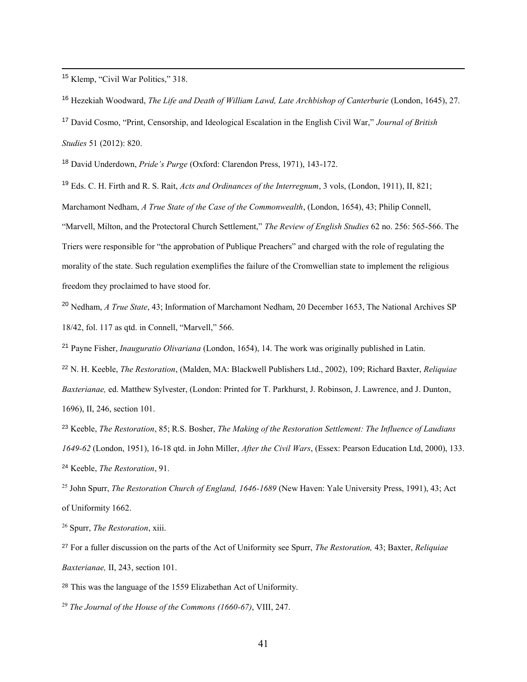<sup>15</sup> Klemp, "Civil War Politics," 318.

 $\overline{a}$ 

<sup>16</sup> Hezekiah Woodward, *The Life and Death of William Lawd, Late Archbishop of Canterburie* (London, 1645), 27.

<sup>17</sup> David Cosmo, "Print, Censorship, and Ideological Escalation in the English Civil War," *Journal of British Studies* 51 (2012): 820.

<sup>18</sup> David Underdown, *Pride's Purge* (Oxford: Clarendon Press, 1971), 143-172.

<sup>19</sup> Eds. C. H. Firth and R. S. Rait, *Acts and Ordinances of the Interregnum*, 3 vols, (London, 1911), II, 821;

Marchamont Nedham, *A True State of the Case of the Commonwealth*, (London, 1654), 43; Philip Connell,

"Marvell, Milton, and the Protectoral Church Settlement," *The Review of English Studies* 62 no. 256: 565-566. The Triers were responsible for "the approbation of Publique Preachers" and charged with the role of regulating the morality of the state. Such regulation exemplifies the failure of the Cromwellian state to implement the religious

freedom they proclaimed to have stood for.

<sup>20</sup> Nedham, *A True State*, 43; Information of Marchamont Nedham, 20 December 1653, The National Archives SP 18/42, fol. 117 as qtd. in Connell, "Marvell," 566.

<sup>21</sup> Payne Fisher, *Inauguratio Olivariana* (London, 1654), 14. The work was originally published in Latin.

<sup>22</sup> N. H. Keeble, *The Restoration*, (Malden, MA: Blackwell Publishers Ltd., 2002), 109; Richard Baxter, *Reliquiae Baxterianae,* ed. Matthew Sylvester, (London: Printed for T. Parkhurst, J. Robinson, J. Lawrence, and J. Dunton, 1696), II, 246, section 101.

<sup>23</sup> Keeble, *The Restoration*, 85; R.S. Bosher, *The Making of the Restoration Settlement: The Influence of Laudians 1649-62* (London, 1951), 16-18 qtd. in John Miller, *After the Civil Wars*, (Essex: Pearson Education Ltd, 2000), 133. <sup>24</sup> Keeble, *The Restoration*, 91.

<sup>25</sup> John Spurr, *The Restoration Church of England, 1646-1689* (New Haven: Yale University Press, 1991), 43; Act of Uniformity 1662.

<sup>26</sup> Spurr, *The Restoration*, xiii.

<sup>27</sup> For a fuller discussion on the parts of the Act of Uniformity see Spurr, *The Restoration,* 43; Baxter, *Reliquiae Baxterianae,* II, 243, section 101.

<sup>28</sup> This was the language of the 1559 Elizabethan Act of Uniformity.

<sup>29</sup> *The Journal of the House of the Commons (1660-67)*, VIII, 247.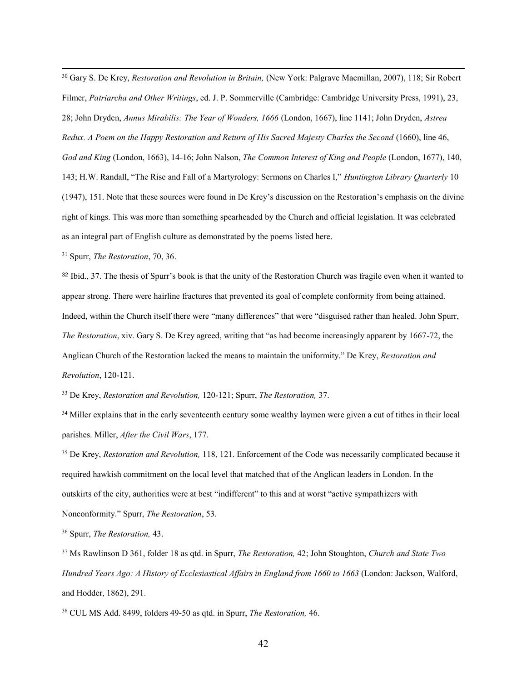$\overline{a}$ <sup>30</sup> Gary S. De Krey, *Restoration and Revolution in Britain,* (New York: Palgrave Macmillan, 2007), 118; Sir Robert Filmer, *Patriarcha and Other Writings*, ed. J. P. Sommerville (Cambridge: Cambridge University Press, 1991), 23, 28; John Dryden, *Annus Mirabilis: The Year of Wonders, 1666* (London, 1667), line 1141; John Dryden, *Astrea Redux. A Poem on the Happy Restoration and Return of His Sacred Majesty Charles the Second* (1660), line 46, *God and King* (London, 1663), 14-16; John Nalson, *The Common Interest of King and People* (London, 1677), 140, 143; H.W. Randall, "The Rise and Fall of a Martyrology: Sermons on Charles I," *Huntington Library Quarterly* 10 (1947), 151. Note that these sources were found in De Krey's discussion on the Restoration's emphasis on the divine right of kings. This was more than something spearheaded by the Church and official legislation. It was celebrated as an integral part of English culture as demonstrated by the poems listed here.

<sup>31</sup> Spurr, *The Restoration*, 70, 36.

<sup>32</sup> Ibid., 37. The thesis of Spurr's book is that the unity of the Restoration Church was fragile even when it wanted to appear strong. There were hairline fractures that prevented its goal of complete conformity from being attained. Indeed, within the Church itself there were "many differences" that were "disguised rather than healed. John Spurr, *The Restoration*, xiv. Gary S. De Krey agreed, writing that "as had become increasingly apparent by 1667-72, the Anglican Church of the Restoration lacked the means to maintain the uniformity." De Krey, *Restoration and Revolution*, 120-121.

<sup>33</sup> De Krey, *Restoration and Revolution,* 120-121; Spurr, *The Restoration,* 37.

<sup>34</sup> Miller explains that in the early seventeenth century some wealthy laymen were given a cut of tithes in their local parishes. Miller, *After the Civil Wars*, 177.

<sup>35</sup> De Krey, *Restoration and Revolution,* 118, 121. Enforcement of the Code was necessarily complicated because it required hawkish commitment on the local level that matched that of the Anglican leaders in London. In the outskirts of the city, authorities were at best "indifferent" to this and at worst "active sympathizers with Nonconformity." Spurr, *The Restoration*, 53.

<sup>36</sup> Spurr, *The Restoration,* 43.

<sup>37</sup> Ms Rawlinson D 361, folder 18 as qtd. in Spurr, *The Restoration,* 42; John Stoughton, *Church and State Two Hundred Years Ago: A History of Ecclesiastical Affairs in England from 1660 to 1663* (London: Jackson, Walford, and Hodder, 1862), 291.

<sup>38</sup> CUL MS Add. 8499, folders 49-50 as qtd. in Spurr, *The Restoration,* 46.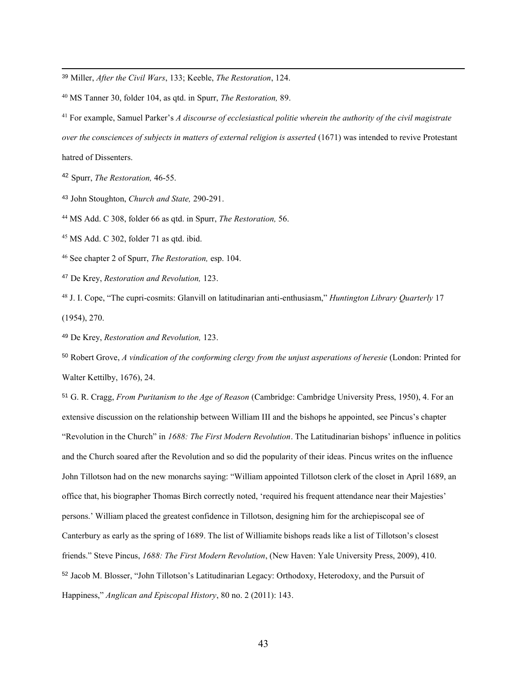<sup>39</sup> Miller, *After the Civil Wars*, 133; Keeble, *The Restoration*, 124.

<sup>40</sup> MS Tanner 30, folder 104, as qtd. in Spurr, *The Restoration,* 89.

<sup>41</sup> For example, Samuel Parker's *A discourse of ecclesiastical politie wherein the authority of the civil magistrate over the consciences of subjects in matters of external religion is asserted* (1671) was intended to revive Protestant hatred of Dissenters.

<sup>42</sup> Spurr, *The Restoration,* 46-55.

 $\overline{a}$ 

<sup>43</sup> John Stoughton, *Church and State,* 290-291.

<sup>44</sup> MS Add. C 308, folder 66 as qtd. in Spurr, *The Restoration,* 56.

 $45$  MS Add. C 302, folder 71 as qtd. ibid.

<sup>46</sup> See chapter 2 of Spurr, *The Restoration,* esp. 104.

<sup>47</sup> De Krey, *Restoration and Revolution,* 123.

<sup>48</sup> J. I. Cope, "The cupri-cosmits: Glanvill on latitudinarian anti-enthusiasm," *Huntington Library Quarterly* 17 (1954), 270.

<sup>49</sup> De Krey, *Restoration and Revolution,* 123.

<sup>50</sup> Robert Grove, *A vindication of the conforming clergy from the unjust asperations of heresie* (London: Printed for Walter Kettilby, 1676), 24.

<sup>51</sup> G. R. Cragg, *From Puritanism to the Age of Reason* (Cambridge: Cambridge University Press, 1950), 4. For an extensive discussion on the relationship between William III and the bishops he appointed, see Pincus's chapter "Revolution in the Church" in *1688: The First Modern Revolution*. The Latitudinarian bishops' influence in politics and the Church soared after the Revolution and so did the popularity of their ideas. Pincus writes on the influence John Tillotson had on the new monarchs saying: "William appointed Tillotson clerk of the closet in April 1689, an office that, his biographer Thomas Birch correctly noted, 'required his frequent attendance near their Majesties' persons.' William placed the greatest confidence in Tillotson, designing him for the archiepiscopal see of Canterbury as early as the spring of 1689. The list of Williamite bishops reads like a list of Tillotson's closest friends." Steve Pincus, *1688: The First Modern Revolution*, (New Haven: Yale University Press, 2009), 410. <sup>52</sup> Jacob M. Blosser, "John Tillotson's Latitudinarian Legacy: Orthodoxy, Heterodoxy, and the Pursuit of Happiness," *Anglican and Episcopal History*, 80 no. 2 (2011): 143.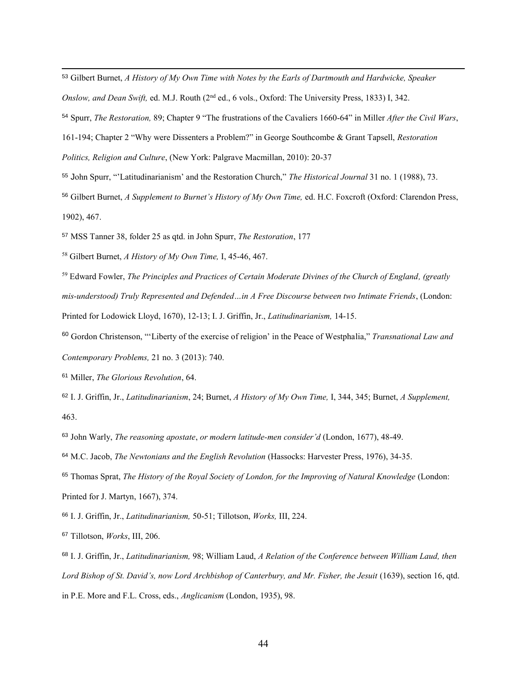- <sup>53</sup> Gilbert Burnet, *A History of My Own Time with Notes by the Earls of Dartmouth and Hardwicke, Speaker*
- *Onslow, and Dean Swift,* ed. M.J. Routh (2nd ed., 6 vols., Oxford: The University Press, 1833) I, 342.
- <sup>54</sup> Spurr, *The Restoration,* 89; Chapter 9 "The frustrations of the Cavaliers 1660-64" in Miller *After the Civil Wars*,
- 161-194; Chapter 2 "Why were Dissenters a Problem?" in George Southcombe & Grant Tapsell, *Restoration*
- *Politics, Religion and Culture*, (New York: Palgrave Macmillan, 2010): 20-37
- <sup>55</sup> John Spurr, "'Latitudinarianism' and the Restoration Church," *The Historical Journal* 31 no. 1 (1988), 73.
- <sup>56</sup> Gilbert Burnet, *A Supplement to Burnet's History of My Own Time,* ed. H.C. Foxcroft (Oxford: Clarendon Press, 1902), 467.
- <sup>57</sup> MSS Tanner 38, folder 25 as qtd. in John Spurr, *The Restoration*, 177
- <sup>58</sup> Gilbert Burnet, *A History of My Own Time,* I, 45-46, 467.
- <sup>59</sup> Edward Fowler, *The Principles and Practices of Certain Moderate Divines of the Church of England, (greatly mis-understood) Truly Represented and Defended…in A Free Discourse between two Intimate Friends*, (London: Printed for Lodowick Lloyd, 1670), 12-13; I. J. Griffin, Jr., *Latitudinarianism,* 14-15.
- <sup>60</sup> Gordon Christenson, "'Liberty of the exercise of religion' in the Peace of Westphalia," *Transnational Law and Contemporary Problems,* 21 no. 3 (2013): 740.
- <sup>61</sup> Miller, *The Glorious Revolution*, 64.

 $\overline{a}$ 

- <sup>62</sup> I. J. Griffin, Jr., *Latitudinarianism*, 24; Burnet, *A History of My Own Time,* I, 344, 345; Burnet, *A Supplement,*  463.
- <sup>63</sup> John Warly, *The reasoning apostate*, *or modern latitude-men consider'd* (London, 1677), 48-49.
- <sup>64</sup> M.C. Jacob, *The Newtonians and the English Revolution* (Hassocks: Harvester Press, 1976), 34-35.
- <sup>65</sup> Thomas Sprat, *The History of the Royal Society of London, for the Improving of Natural Knowledge* (London: Printed for J. Martyn, 1667), 374.
- <sup>66</sup> I. J. Griffin, Jr., *Latitudinarianism,* 50-51; Tillotson, *Works,* III, 224.
- <sup>67</sup> Tillotson, *Works*, III, 206.
- <sup>68</sup> I. J. Griffin, Jr., *Latitudinarianism,* 98; William Laud, *A Relation of the Conference between William Laud, then Lord Bishop of St. David's, now Lord Archbishop of Canterbury, and Mr. Fisher, the Jesuit* (1639), section 16, qtd. in P.E. More and F.L. Cross, eds., *Anglicanism* (London, 1935), 98.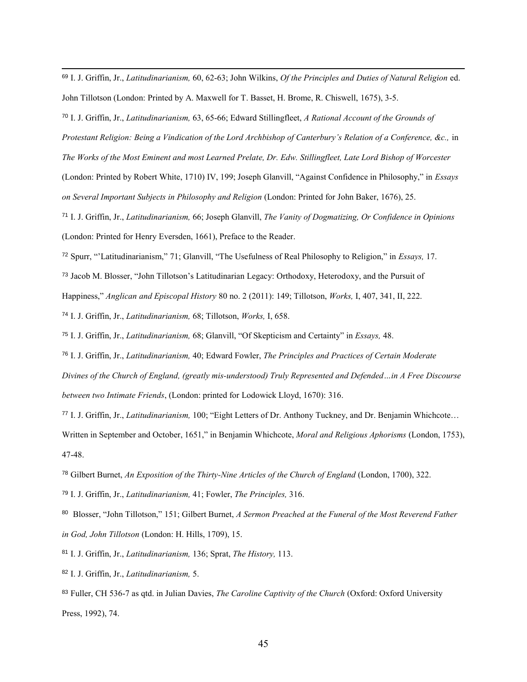<sup>69</sup> I. J. Griffin, Jr., *Latitudinarianism,* 60, 62-63; John Wilkins, *Of the Principles and Duties of Natural Religion* ed. John Tillotson (London: Printed by A. Maxwell for T. Basset, H. Brome, R. Chiswell, 1675), 3-5.

<sup>70</sup> I. J. Griffin, Jr., *Latitudinarianism,* 63, 65-66; Edward Stillingfleet, *A Rational Account of the Grounds of Protestant Religion: Being a Vindication of the Lord Archbishop of Canterbury's Relation of a Conference, &c.,* in *The Works of the Most Eminent and most Learned Prelate, Dr. Edw. Stillingfleet, Late Lord Bishop of Worcester*  (London: Printed by Robert White, 1710) IV, 199; Joseph Glanvill, "Against Confidence in Philosophy," in *Essays on Several Important Subjects in Philosophy and Religion* (London: Printed for John Baker, 1676), 25. <sup>71</sup> I. J. Griffin, Jr., *Latitudinarianism,* 66; Joseph Glanvill, *The Vanity of Dogmatizing, Or Confidence in Opinions*

(London: Printed for Henry Eversden, 1661), Preface to the Reader.

 $\overline{a}$ 

<sup>72</sup> Spurr, "'Latitudinarianism," 71; Glanvill, "The Usefulness of Real Philosophy to Religion," in *Essays,* 17.

<sup>73</sup> Jacob M. Blosser, "John Tillotson's Latitudinarian Legacy: Orthodoxy, Heterodoxy, and the Pursuit of

Happiness," *Anglican and Episcopal History* 80 no. 2 (2011): 149; Tillotson, *Works,* I, 407, 341, II, 222.

<sup>74</sup> I. J. Griffin, Jr., *Latitudinarianism,* 68; Tillotson, *Works,* I, 658.

<sup>75</sup> I. J. Griffin, Jr., *Latitudinarianism,* 68; Glanvill, "Of Skepticism and Certainty" in *Essays,* 48.

<sup>76</sup> I. J. Griffin, Jr., *Latitudinarianism,* 40; Edward Fowler, *The Principles and Practices of Certain Moderate Divines of the Church of England, (greatly mis-understood) Truly Represented and Defended…in A Free Discourse between two Intimate Friends*, (London: printed for Lodowick Lloyd, 1670): 316.

<sup>77</sup> I. J. Griffin, Jr., *Latitudinarianism,* 100; "Eight Letters of Dr. Anthony Tuckney, and Dr. Benjamin Whichcote… Written in September and October, 1651," in Benjamin Whichcote, *Moral and Religious Aphorisms* (London, 1753), 47-48.

<sup>78</sup> Gilbert Burnet, *An Exposition of the Thirty-Nine Articles of the Church of England* (London, 1700), 322.

<sup>79</sup> I. J. Griffin, Jr., *Latitudinarianism,* 41; Fowler, *The Principles,* 316.

80 Blosser, "John Tillotson," 151; Gilbert Burnet, *A Sermon Preached at the Funeral of the Most Reverend Father in God, John Tillotson* (London: H. Hills, 1709), 15.

<sup>81</sup> I. J. Griffin, Jr., *Latitudinarianism,* 136; Sprat, *The History,* 113.

<sup>82</sup> I. J. Griffin, Jr., *Latitudinarianism,* 5.

<sup>83</sup> Fuller, CH 536-7 as qtd. in Julian Davies, *The Caroline Captivity of the Church* (Oxford: Oxford University Press, 1992), 74.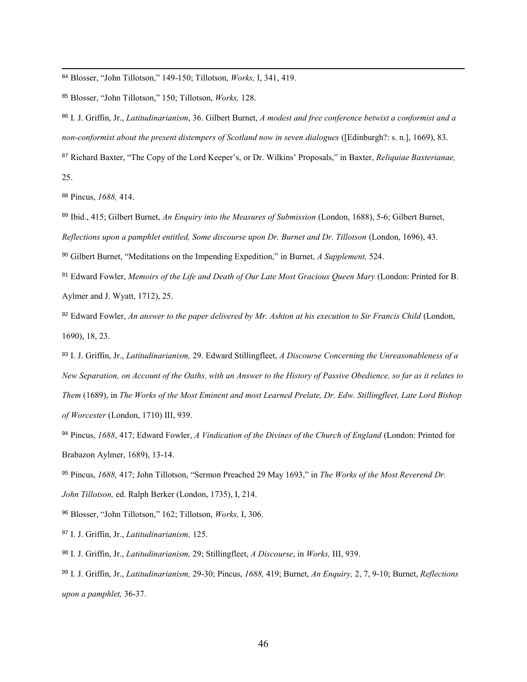<sup>84</sup> Blosser, "John Tillotson," 149-150; Tillotson, *Works,* I, 341, 419.

<sup>85</sup> Blosser, "John Tillotson," 150; Tillotson, *Works,* 128.

<sup>86</sup> I. J. Griffin, Jr., *Latitudinarianism*, 36. Gilbert Burnet, *A modest and free conference betwixt a conformist and a non-conformist about the present distempers of Scotland now in seven dialogues* ([Edinburgh?: s. n.], 1669), 83.

<sup>87</sup> Richard Baxter, "The Copy of the Lord Keeper's, or Dr. Wilkins' Proposals," in Baxter, *Reliquiae Baxterianae,*  25.

<sup>88</sup> Pincus, *1688,* 414.

 $\overline{a}$ 

<sup>89</sup> Ibid., 415; Gilbert Burnet, *An Enquiry into the Measures of Submission* (London, 1688), 5-6; Gilbert Burnet,

*Reflections upon a pamphlet entitled, Some discourse upon Dr. Burnet and Dr. Tillotson* (London, 1696), 43.

<sup>90</sup> Gilbert Burnet, "Meditations on the Impending Expedition," in Burnet, *A Supplement,* 524.

<sup>91</sup> Edward Fowler, *Memoirs of the Life and Death of Our Late Most Gracious Queen Mary* (London: Printed for B. Aylmer and J. Wyatt, 1712), 25.

92 Edward Fowler, An answer to the paper delivered by Mr. Ashton at his execution to Sir Francis Child (London, 1690), 18, 23.

<sup>93</sup> I. J. Griffin, Jr., *Latitudinarianism,* 29. Edward Stillingfleet, *A Discourse Concerning the Unreasonableness of a New Separation, on Account of the Oaths, with an Answer to the History of Passive Obedience, so far as it relates to Them* (1689), in *The Works of the Most Eminent and most Learned Prelate, Dr. Edw. Stillingfleet, Late Lord Bishop of Worcester* (London, 1710) III, 939.

<sup>94</sup> Pincus, *1688*, 417; Edward Fowler, *A Vindication of the Divines of the Church of England* (London: Printed for Brabazon Aylmer, 1689), 13-14.

<sup>95</sup> Pincus, *1688,* 417; John Tillotson, "Sermon Preached 29 May 1693," in *The Works of the Most Reverend Dr.* 

*John Tillotson,* ed. Ralph Berker (London, 1735), I, 214.

<sup>96</sup> Blosser, "John Tillotson," 162; Tillotson, *Works,* I, 306.

<sup>97</sup> I. J. Griffin, Jr., *Latitudinarianism,* 125.

<sup>98</sup> I. J. Griffin, Jr., *Latitudinarianism,* 29; Stillingfleet, *A Discourse*, in *Works,* III, 939.

<sup>99</sup> I. J. Griffin, Jr., *Latitudinarianism,* 29-30; Pincus, *1688,* 419; Burnet, *An Enquiry,* 2, 7, 9-10; Burnet, *Reflections upon a pamphlet,* 36-37.